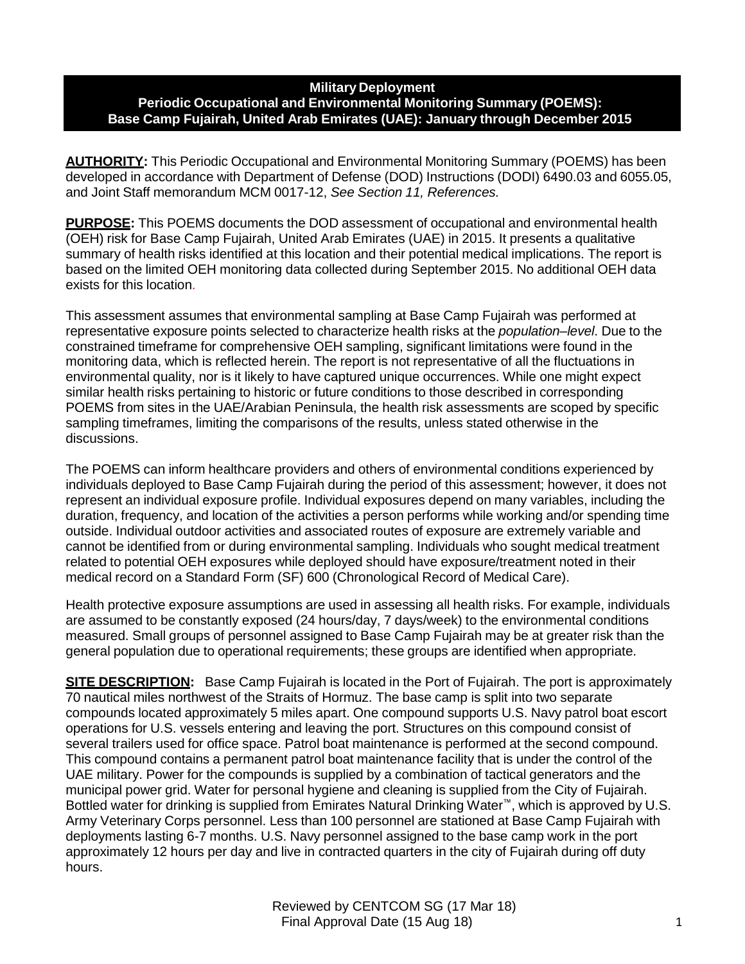# **Military Deployment Periodic Occupational and Environmental Monitoring Summary (POEMS): Base Camp Fujairah, United Arab Emirates (UAE): January through December 2015**

**AUTHORITY:** This Periodic Occupational and Environmental Monitoring Summary (POEMS) has been developed in accordance with Department of Defense (DOD) Instructions (DODI) 6490.03 and 6055.05, and Joint Staff memorandum MCM 0017-12, *See Section 11, References.*

**PURPOSE:** This POEMS documents the DOD assessment of occupational and environmental health (OEH) risk for Base Camp Fujairah, United Arab Emirates (UAE) in 2015. It presents a qualitative summary of health risks identified at this location and their potential medical implications. The report is based on the limited OEH monitoring data collected during September 2015. No additional OEH data exists for this location.

This assessment assumes that environmental sampling at Base Camp Fujairah was performed at representative exposure points selected to characterize health risks at the *population–level*. Due to the constrained timeframe for comprehensive OEH sampling, significant limitations were found in the monitoring data, which is reflected herein. The report is not representative of all the fluctuations in environmental quality, nor is it likely to have captured unique occurrences. While one might expect similar health risks pertaining to historic or future conditions to those described in corresponding POEMS from sites in the UAE/Arabian Peninsula, the health risk assessments are scoped by specific sampling timeframes, limiting the comparisons of the results, unless stated otherwise in the discussions.

The POEMS can inform healthcare providers and others of environmental conditions experienced by individuals deployed to Base Camp Fujairah during the period of this assessment; however, it does not represent an individual exposure profile. Individual exposures depend on many variables, including the duration, frequency, and location of the activities a person performs while working and/or spending time outside. Individual outdoor activities and associated routes of exposure are extremely variable and cannot be identified from or during environmental sampling. Individuals who sought medical treatment related to potential OEH exposures while deployed should have exposure/treatment noted in their medical record on a Standard Form (SF) 600 (Chronological Record of Medical Care).

Health protective exposure assumptions are used in assessing all health risks. For example, individuals are assumed to be constantly exposed (24 hours/day, 7 days/week) to the environmental conditions measured. Small groups of personnel assigned to Base Camp Fujairah may be at greater risk than the general population due to operational requirements; these groups are identified when appropriate.

**SITE DESCRIPTION:** Base Camp Fujairah is located in the Port of Fujairah. The port is approximately 70 nautical miles northwest of the Straits of Hormuz. The base camp is split into two separate compounds located approximately 5 miles apart. One compound supports U.S. Navy patrol boat escort operations for U.S. vessels entering and leaving the port. Structures on this compound consist of several trailers used for office space. Patrol boat maintenance is performed at the second compound. This compound contains a permanent patrol boat maintenance facility that is under the control of the UAE military. Power for the compounds is supplied by a combination of tactical generators and the municipal power grid. Water for personal hygiene and cleaning is supplied from the City of Fujairah. Bottled water for drinking is supplied from Emirates Natural Drinking Water™, which is approved by U.S. Army Veterinary Corps personnel. Less than 100 personnel are stationed at Base Camp Fujairah with deployments lasting 6-7 months. U.S. Navy personnel assigned to the base camp work in the port approximately 12 hours per day and live in contracted quarters in the city of Fujairah during off duty hours.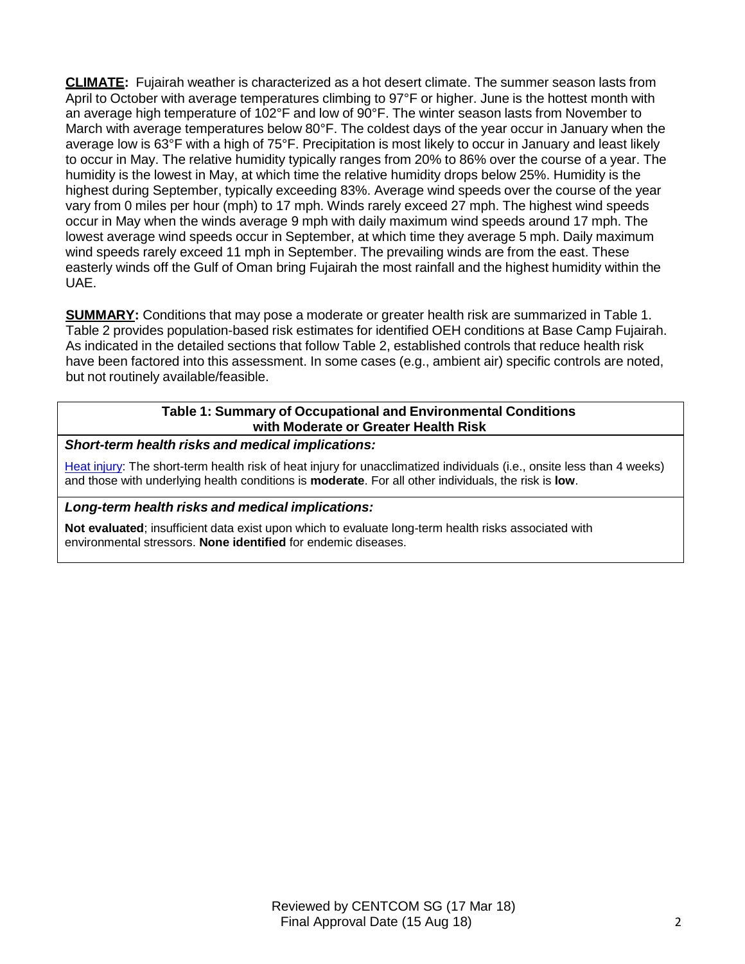**CLIMATE:** Fujairah weather is characterized as a hot desert climate. The summer season lasts from April to October with average temperatures climbing to 97°F or higher. June is the hottest month with an average high temperature of 102°F and low of 90°F. The winter season lasts from November to March with average temperatures below 80°F. The coldest days of the year occur in January when the average low is 63°F with a high of 75°F. Precipitation is most likely to occur in January and least likely to occur in May. The relative humidity typically ranges from 20% to 86% over the course of a year. The humidity is the lowest in May, at which time the relative humidity drops below 25%. Humidity is the highest during September, typically exceeding 83%. Average wind speeds over the course of the year vary from 0 miles per hour (mph) to 17 mph. Winds rarely exceed 27 mph. The highest wind speeds occur in May when the winds average 9 mph with daily maximum wind speeds around 17 mph. The lowest average wind speeds occur in September, at which time they average 5 mph. Daily maximum wind speeds rarely exceed 11 mph in September. The prevailing winds are from the east. These easterly winds off the Gulf of Oman bring Fujairah the most rainfall and the highest humidity within the UAE.

**SUMMARY:** Conditions that may pose a moderate or greater health risk are summarized in Table 1. Table 2 provides population-based risk estimates for identified OEH conditions at Base Camp Fujairah. As indicated in the detailed sections that follow Table 2, established controls that reduce health risk have been factored into this assessment. In some cases (e.g., ambient air) specific controls are noted, but not routinely available/feasible.

# **Table 1: Summary of Occupational and Environmental Conditions with Moderate or Greater Health Risk**

*Short-term health risks and medical implications:*

Heat injury: The short-term health risk of heat injury for unacclimatized individuals (i.e., onsite less than 4 weeks) and those with underlying health conditions is **moderate**. For all other individuals, the risk is **low**.

# *Long-term health risks and medical implications:*

**Not evaluated**; insufficient data exist upon which to evaluate long-term health risks associated with environmental stressors. **None identified** for endemic diseases.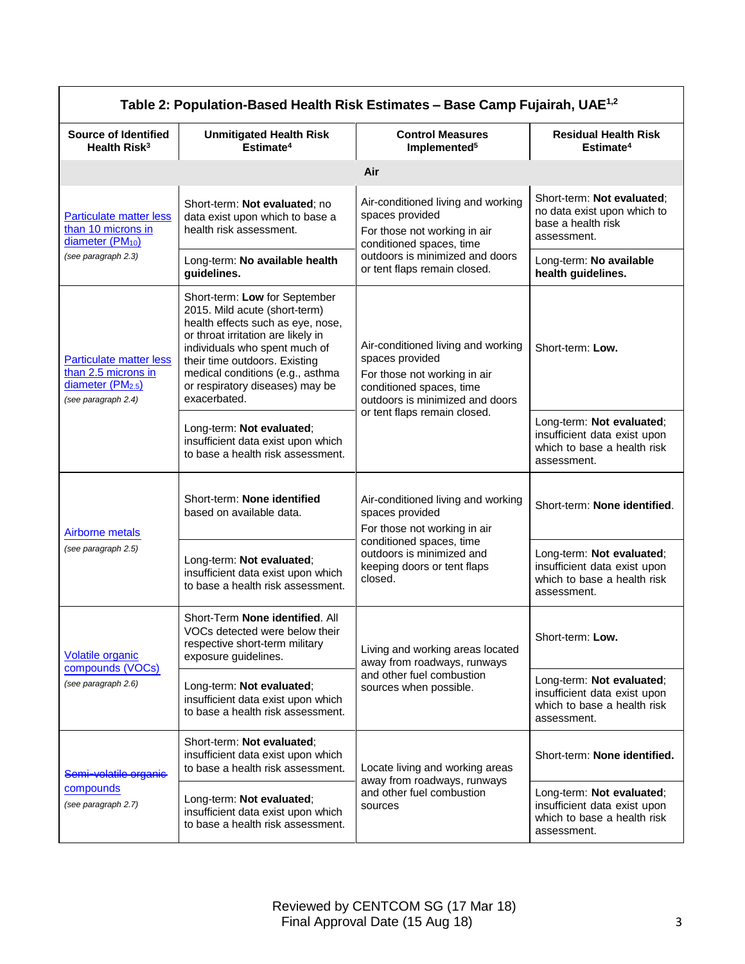| Table 2: Population-Based Health Risk Estimates - Base Camp Fujairah, UAE <sup>1,2</sup>                      |                                                                                                                                                                                                                                                                                                    |                                                                                                                                                      |                                                                                                         |
|---------------------------------------------------------------------------------------------------------------|----------------------------------------------------------------------------------------------------------------------------------------------------------------------------------------------------------------------------------------------------------------------------------------------------|------------------------------------------------------------------------------------------------------------------------------------------------------|---------------------------------------------------------------------------------------------------------|
| <b>Source of Identified</b><br>Health Risk <sup>3</sup>                                                       | <b>Unmitigated Health Risk</b><br>Estimate <sup>4</sup>                                                                                                                                                                                                                                            | <b>Control Measures</b><br>Implemented <sup>5</sup>                                                                                                  | <b>Residual Health Risk</b><br>Estimate <sup>4</sup>                                                    |
| Air                                                                                                           |                                                                                                                                                                                                                                                                                                    |                                                                                                                                                      |                                                                                                         |
| <b>Particulate matter less</b><br>than 10 microns in<br>diameter (PM <sub>10</sub> )                          | Short-term: Not evaluated; no<br>data exist upon which to base a<br>health risk assessment.                                                                                                                                                                                                        | Air-conditioned living and working<br>spaces provided<br>For those not working in air<br>conditioned spaces, time                                    | Short-term: Not evaluated;<br>no data exist upon which to<br>base a health risk<br>assessment.          |
| (see paragraph 2.3)                                                                                           | Long-term: No available health<br>guidelines.                                                                                                                                                                                                                                                      | outdoors is minimized and doors<br>or tent flaps remain closed.                                                                                      | Long-term: No available<br>health guidelines.                                                           |
| <b>Particulate matter less</b><br>than 2.5 microns in<br>diameter (PM <sub>2.5</sub> )<br>(see paragraph 2.4) | Short-term: Low for September<br>2015. Mild acute (short-term)<br>health effects such as eye, nose,<br>or throat irritation are likely in<br>individuals who spent much of<br>their time outdoors. Existing<br>medical conditions (e.g., asthma<br>or respiratory diseases) may be<br>exacerbated. | Air-conditioned living and working<br>spaces provided<br>For those not working in air<br>conditioned spaces, time<br>outdoors is minimized and doors | Short-term: Low.                                                                                        |
|                                                                                                               | Long-term: Not evaluated;<br>insufficient data exist upon which<br>to base a health risk assessment.                                                                                                                                                                                               | or tent flaps remain closed.                                                                                                                         | Long-term: Not evaluated;<br>insufficient data exist upon<br>which to base a health risk<br>assessment. |
| Airborne metals<br>(see paragraph 2.5)                                                                        | Short-term: None identified<br>based on available data.                                                                                                                                                                                                                                            | Air-conditioned living and working<br>spaces provided<br>For those not working in air                                                                | Short-term: None identified.                                                                            |
|                                                                                                               | Long-term: Not evaluated;<br>insufficient data exist upon which<br>to base a health risk assessment.                                                                                                                                                                                               | conditioned spaces, time<br>outdoors is minimized and<br>keeping doors or tent flaps<br>closed.                                                      | Long-term: Not evaluated;<br>insufficient data exist upon<br>which to base a health risk<br>assessment. |
| <b>Volatile organic</b><br>compounds (VOCs)<br>(see paragraph 2.6)                                            | Short-Term None identified. All<br>VOCs detected were below their<br>respective short-term military<br>exposure guidelines.                                                                                                                                                                        | Living and working areas located<br>away from roadways, runways                                                                                      | Short-term: Low.                                                                                        |
|                                                                                                               | Long-term: Not evaluated;<br>insufficient data exist upon which<br>to base a health risk assessment.                                                                                                                                                                                               | and other fuel combustion<br>sources when possible.                                                                                                  | Long-term: Not evaluated;<br>insufficient data exist upon<br>which to base a health risk<br>assessment. |
| Semi-volatile organie<br>compounds<br>(see paragraph 2.7)                                                     | Short-term: Not evaluated;<br>insufficient data exist upon which<br>to base a health risk assessment.                                                                                                                                                                                              | Locate living and working areas                                                                                                                      | Short-term: None identified.                                                                            |
|                                                                                                               | Long-term: Not evaluated;<br>insufficient data exist upon which<br>to base a health risk assessment.                                                                                                                                                                                               | away from roadways, runways<br>and other fuel combustion<br>sources                                                                                  | Long-term: Not evaluated;<br>insufficient data exist upon<br>which to base a health risk<br>assessment. |

# Reviewed by CENTCOM SG (17 Mar 18) Final Approval Date (15 Aug 18) 33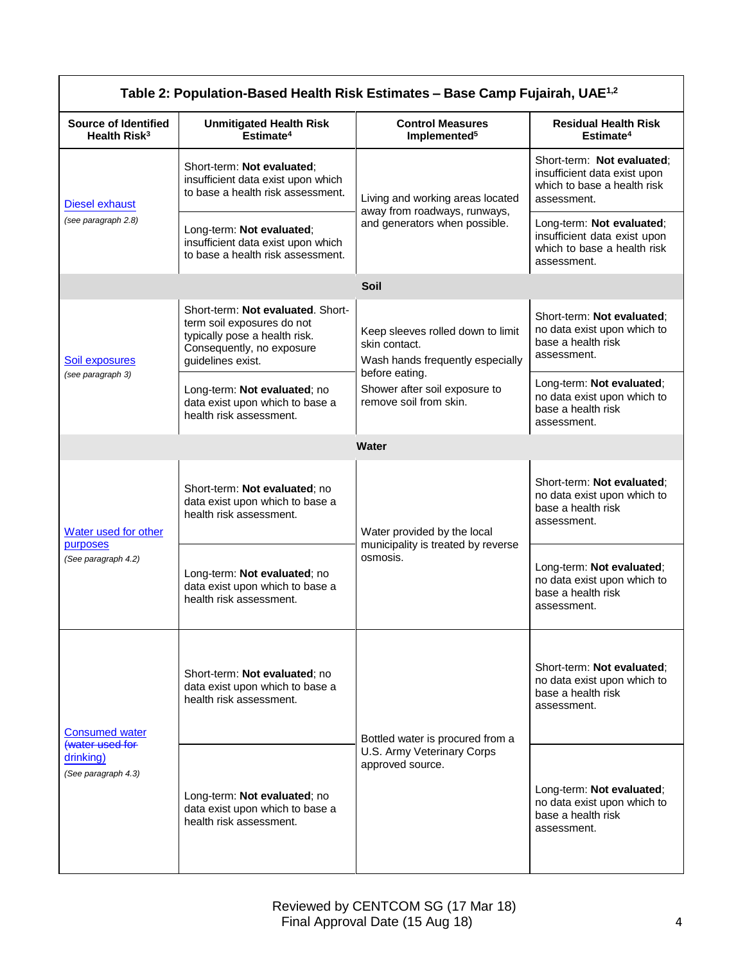| Table 2: Population-Based Health Risk Estimates - Base Camp Fujairah, UAE <sup>1,2</sup> |                                                                                                                                                    |                                                                                                          |                                                                                                          |
|------------------------------------------------------------------------------------------|----------------------------------------------------------------------------------------------------------------------------------------------------|----------------------------------------------------------------------------------------------------------|----------------------------------------------------------------------------------------------------------|
| <b>Source of Identified</b><br>Health Risk <sup>3</sup>                                  | <b>Unmitigated Health Risk</b><br>Estimate <sup>4</sup>                                                                                            | <b>Control Measures</b><br>Implemented <sup>5</sup>                                                      | <b>Residual Health Risk</b><br>Estimate <sup>4</sup>                                                     |
| Diesel exhaust<br>(see paragraph 2.8)                                                    | Short-term: Not evaluated;<br>insufficient data exist upon which<br>to base a health risk assessment.                                              | Living and working areas located<br>away from roadways, runways,<br>and generators when possible.        | Short-term: Not evaluated;<br>insufficient data exist upon<br>which to base a health risk<br>assessment. |
|                                                                                          | Long-term: Not evaluated;<br>insufficient data exist upon which<br>to base a health risk assessment.                                               |                                                                                                          | Long-term: Not evaluated;<br>insufficient data exist upon<br>which to base a health risk<br>assessment.  |
|                                                                                          |                                                                                                                                                    | <b>Soil</b>                                                                                              |                                                                                                          |
| <b>Soil exposures</b><br>(see paragraph 3)                                               | Short-term: Not evaluated. Short-<br>term soil exposures do not<br>typically pose a health risk.<br>Consequently, no exposure<br>guidelines exist. | Keep sleeves rolled down to limit<br>skin contact.<br>Wash hands frequently especially<br>before eating. | Short-term: Not evaluated;<br>no data exist upon which to<br>base a health risk<br>assessment.           |
|                                                                                          | Long-term: Not evaluated; no<br>data exist upon which to base a<br>health risk assessment.                                                         | Shower after soil exposure to<br>remove soil from skin.                                                  | Long-term: Not evaluated;<br>no data exist upon which to<br>base a health risk<br>assessment.            |
|                                                                                          |                                                                                                                                                    | Water                                                                                                    |                                                                                                          |
| Water used for other<br>purposes<br>(See paragraph 4.2)                                  | Short-term: Not evaluated; no<br>data exist upon which to base a<br>health risk assessment.                                                        | Water provided by the local                                                                              | Short-term: Not evaluated:<br>no data exist upon which to<br>base a health risk<br>assessment.           |
|                                                                                          | Long-term: Not evaluated; no<br>data exist upon which to base a<br>health risk assessment.                                                         | municipality is treated by reverse<br>osmosis.                                                           | Long-term: Not evaluated;<br>no data exist upon which to<br>base a health risk<br>assessment.            |
| <b>Consumed water</b><br>(water used for<br>drinking)<br>(See paragraph 4.3)             | Short-term: Not evaluated; no<br>data exist upon which to base a<br>health risk assessment.                                                        | Bottled water is procured from a<br>U.S. Army Veterinary Corps<br>approved source.                       | Short-term: Not evaluated:<br>no data exist upon which to<br>base a health risk<br>assessment.           |
|                                                                                          | Long-term: Not evaluated; no<br>data exist upon which to base a<br>health risk assessment.                                                         |                                                                                                          | Long-term: Not evaluated;<br>no data exist upon which to<br>base a health risk<br>assessment.            |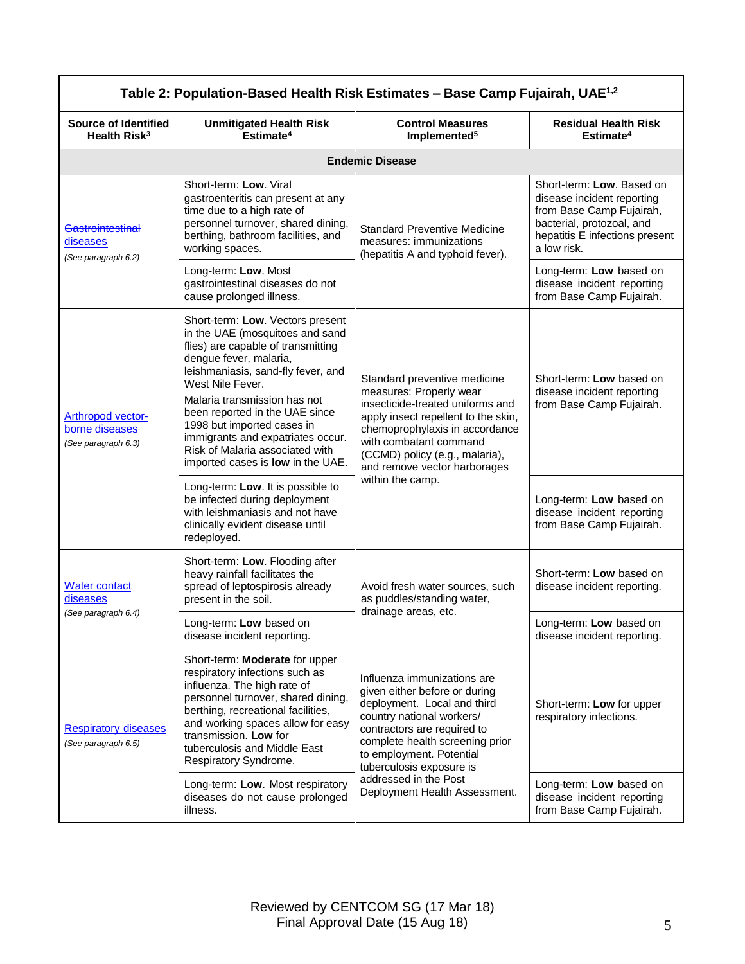| Table 2: Population-Based Health Risk Estimates - Base Camp Fujairah, UAE <sup>1,2</sup> |                                                                                                                                                                                                                                                                                                                                                                                                            |                                                                                                                                                                                                                                                                  |                                                                                                                                                                   |
|------------------------------------------------------------------------------------------|------------------------------------------------------------------------------------------------------------------------------------------------------------------------------------------------------------------------------------------------------------------------------------------------------------------------------------------------------------------------------------------------------------|------------------------------------------------------------------------------------------------------------------------------------------------------------------------------------------------------------------------------------------------------------------|-------------------------------------------------------------------------------------------------------------------------------------------------------------------|
| <b>Source of Identified</b><br>Health Risk <sup>3</sup>                                  | <b>Unmitigated Health Risk</b><br>Estimate <sup>4</sup>                                                                                                                                                                                                                                                                                                                                                    | <b>Control Measures</b><br>Implemented <sup>5</sup>                                                                                                                                                                                                              | <b>Residual Health Risk</b><br>Estimate <sup>4</sup>                                                                                                              |
|                                                                                          |                                                                                                                                                                                                                                                                                                                                                                                                            | <b>Endemic Disease</b>                                                                                                                                                                                                                                           |                                                                                                                                                                   |
| <b>Gastrointestinal</b><br>diseases<br>(See paragraph 6.2)                               | Short-term: Low. Viral<br>gastroenteritis can present at any<br>time due to a high rate of<br>personnel turnover, shared dining,<br>berthing, bathroom facilities, and<br>working spaces.                                                                                                                                                                                                                  | <b>Standard Preventive Medicine</b><br>measures: immunizations<br>(hepatitis A and typhoid fever).                                                                                                                                                               | Short-term: Low. Based on<br>disease incident reporting<br>from Base Camp Fujairah,<br>bacterial, protozoal, and<br>hepatitis E infections present<br>a low risk. |
|                                                                                          | Long-term: Low. Most<br>gastrointestinal diseases do not<br>cause prolonged illness.                                                                                                                                                                                                                                                                                                                       |                                                                                                                                                                                                                                                                  | Long-term: Low based on<br>disease incident reporting<br>from Base Camp Fujairah.                                                                                 |
| <b>Arthropod vector-</b><br>borne diseases<br>(See paragraph 6.3)                        | Short-term: Low. Vectors present<br>in the UAE (mosquitoes and sand<br>flies) are capable of transmitting<br>dengue fever, malaria,<br>leishmaniasis, sand-fly fever, and<br>West Nile Fever.<br>Malaria transmission has not<br>been reported in the UAE since<br>1998 but imported cases in<br>immigrants and expatriates occur.<br>Risk of Malaria associated with<br>imported cases is low in the UAE. | Standard preventive medicine<br>measures: Properly wear<br>insecticide-treated uniforms and<br>apply insect repellent to the skin,<br>chemoprophylaxis in accordance<br>with combatant command<br>(CCMD) policy (e.g., malaria),<br>and remove vector harborages | Short-term: Low based on<br>disease incident reporting<br>from Base Camp Fujairah.                                                                                |
|                                                                                          | Long-term: Low. It is possible to<br>be infected during deployment<br>with leishmaniasis and not have<br>clinically evident disease until<br>redeployed.                                                                                                                                                                                                                                                   | within the camp.                                                                                                                                                                                                                                                 | Long-term: Low based on<br>disease incident reporting<br>from Base Camp Fujairah.                                                                                 |
| <b>Water contact</b><br>diseases<br>(See paragraph 6.4)                                  | Short-term: Low. Flooding after<br>heavy rainfall facilitates the<br>spread of leptospirosis already<br>present in the soil.                                                                                                                                                                                                                                                                               | Avoid fresh water sources, such<br>as puddles/standing water,                                                                                                                                                                                                    | Short-term: Low based on<br>disease incident reporting.                                                                                                           |
|                                                                                          | Long-term: Low based on<br>disease incident reporting.                                                                                                                                                                                                                                                                                                                                                     | drainage areas, etc.                                                                                                                                                                                                                                             | Long-term: Low based on<br>disease incident reporting.                                                                                                            |
| <b>Respiratory diseases</b><br>(See paragraph 6.5)                                       | Short-term: Moderate for upper<br>respiratory infections such as<br>influenza. The high rate of<br>personnel turnover, shared dining,<br>berthing, recreational facilities,<br>and working spaces allow for easy<br>transmission. Low for<br>tuberculosis and Middle East<br>Respiratory Syndrome.                                                                                                         | Influenza immunizations are<br>given either before or during<br>deployment. Local and third<br>country national workers/<br>contractors are required to<br>complete health screening prior<br>to employment. Potential<br>tuberculosis exposure is               | Short-term: Low for upper<br>respiratory infections.                                                                                                              |
|                                                                                          | Long-term: Low. Most respiratory<br>diseases do not cause prolonged<br>illness.                                                                                                                                                                                                                                                                                                                            | addressed in the Post<br>Deployment Health Assessment.                                                                                                                                                                                                           | Long-term: Low based on<br>disease incident reporting<br>from Base Camp Fujairah.                                                                                 |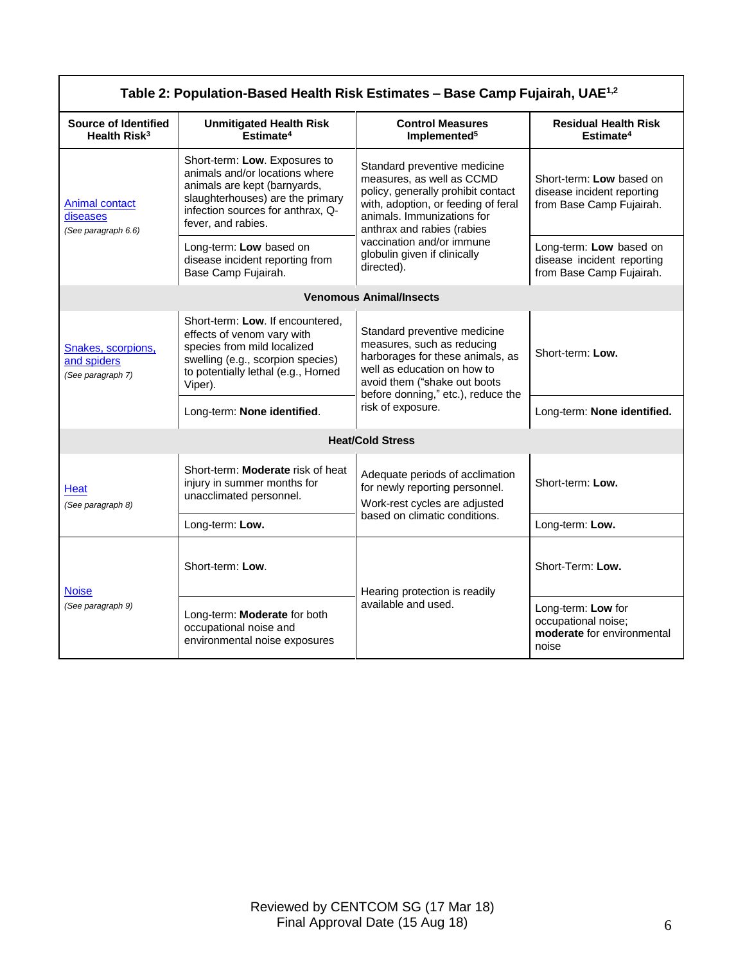| Table 2: Population-Based Health Risk Estimates - Base Camp Fujairah, UAE <sup>1,2</sup> |                                                                                                                                                                                                   |                                                                                                                                                                                                                                                                               |                                                                                    |
|------------------------------------------------------------------------------------------|---------------------------------------------------------------------------------------------------------------------------------------------------------------------------------------------------|-------------------------------------------------------------------------------------------------------------------------------------------------------------------------------------------------------------------------------------------------------------------------------|------------------------------------------------------------------------------------|
| Source of Identified<br>Health Risk <sup>3</sup>                                         | <b>Unmitigated Health Risk</b><br>Estimate <sup>4</sup>                                                                                                                                           | <b>Control Measures</b><br>Implemented <sup>5</sup>                                                                                                                                                                                                                           | <b>Residual Health Risk</b><br>Estimate <sup>4</sup>                               |
| <b>Animal contact</b><br>diseases<br>(See paragraph 6.6)                                 | Short-term: Low. Exposures to<br>animals and/or locations where<br>animals are kept (barnyards,<br>slaughterhouses) are the primary<br>infection sources for anthrax, Q-<br>fever, and rabies.    | Standard preventive medicine<br>measures, as well as CCMD<br>policy, generally prohibit contact<br>with, adoption, or feeding of feral<br>animals. Immunizations for<br>anthrax and rabies (rabies<br>vaccination and/or immune<br>globulin given if clinically<br>directed). | Short-term: Low based on<br>disease incident reporting<br>from Base Camp Fujairah. |
|                                                                                          | Long-term: Low based on<br>disease incident reporting from<br>Base Camp Fujairah.                                                                                                                 |                                                                                                                                                                                                                                                                               | Long-term: Low based on<br>disease incident reporting<br>from Base Camp Fujairah.  |
| <b>Venomous Animal/Insects</b>                                                           |                                                                                                                                                                                                   |                                                                                                                                                                                                                                                                               |                                                                                    |
| Snakes, scorpions,<br>and spiders<br>(See paragraph 7)                                   | Short-term: Low. If encountered,<br>effects of venom vary with<br>species from mild localized<br>swelling (e.g., scorpion species)<br>to potentially lethal (e.g., Horned<br>Viper).              | Standard preventive medicine<br>measures, such as reducing<br>harborages for these animals, as<br>well as education on how to<br>avoid them ("shake out boots<br>before donning," etc.), reduce the<br>risk of exposure.                                                      | Short-term: Low.                                                                   |
|                                                                                          | Long-term: None identified.                                                                                                                                                                       |                                                                                                                                                                                                                                                                               | Long-term: None identified.                                                        |
| <b>Heat/Cold Stress</b>                                                                  |                                                                                                                                                                                                   |                                                                                                                                                                                                                                                                               |                                                                                    |
| Heat<br>(See paragraph 8)                                                                | Short-term: Moderate risk of heat<br>Adequate periods of acclimation<br>injury in summer months for<br>for newly reporting personnel.<br>unacclimated personnel.<br>Work-rest cycles are adjusted | Short-term: Low.                                                                                                                                                                                                                                                              |                                                                                    |
|                                                                                          | Long-term: Low.                                                                                                                                                                                   | based on climatic conditions.                                                                                                                                                                                                                                                 | Long-term: Low.                                                                    |
| <b>Noise</b><br>(See paragraph 9)                                                        | Short-term: Low.                                                                                                                                                                                  | Hearing protection is readily<br>available and used.                                                                                                                                                                                                                          | Short-Term: Low.                                                                   |
|                                                                                          | Long-term: Moderate for both<br>occupational noise and<br>environmental noise exposures                                                                                                           |                                                                                                                                                                                                                                                                               | Long-term: Low for<br>occupational noise;<br>moderate for environmental<br>noise   |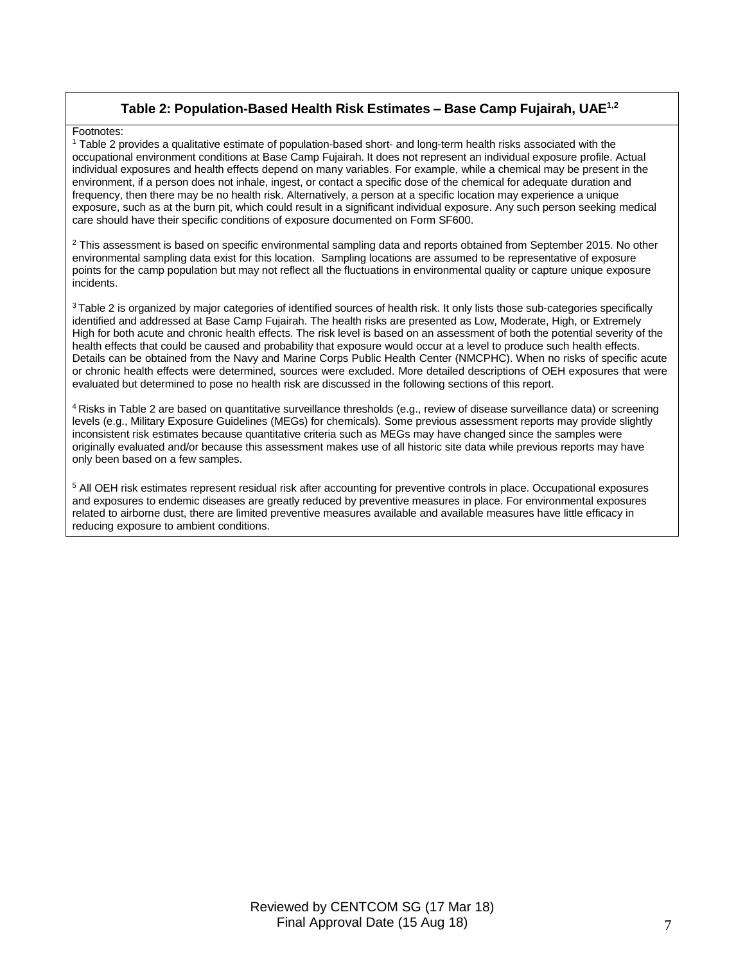# **Table 2: Population-Based Health Risk Estimates – Base Camp Fujairah, UAE1,2**

#### Footnotes:

<sup>1</sup> Table 2 provides a qualitative estimate of population-based short- and long-term health risks associated with the occupational environment conditions at Base Camp Fujairah. It does not represent an individual exposure profile. Actual individual exposures and health effects depend on many variables. For example, while a chemical may be present in the environment, if a person does not inhale, ingest, or contact a specific dose of the chemical for adequate duration and frequency, then there may be no health risk. Alternatively, a person at a specific location may experience a unique exposure, such as at the burn pit, which could result in a significant individual exposure. Any such person seeking medical care should have their specific conditions of exposure documented on Form SF600.

 $2$  This assessment is based on specific environmental sampling data and reports obtained from September 2015. No other environmental sampling data exist for this location. Sampling locations are assumed to be representative of exposure points for the camp population but may not reflect all the fluctuations in environmental quality or capture unique exposure incidents.

<sup>3</sup> Table 2 is organized by major categories of identified sources of health risk. It only lists those sub-categories specifically identified and addressed at Base Camp Fujairah. The health risks are presented as Low, Moderate, High, or Extremely High for both acute and chronic health effects. The risk level is based on an assessment of both the potential severity of the health effects that could be caused and probability that exposure would occur at a level to produce such health effects. Details can be obtained from the Navy and Marine Corps Public Health Center (NMCPHC). When no risks of specific acute or chronic health effects were determined, sources were excluded. More detailed descriptions of OEH exposures that were evaluated but determined to pose no health risk are discussed in the following sections of this report.

<sup>4</sup> Risks in Table 2 are based on quantitative surveillance thresholds (e.g., review of disease surveillance data) or screening levels (e.g., Military Exposure Guidelines (MEGs) for chemicals)*.* Some previous assessment reports may provide slightly inconsistent risk estimates because quantitative criteria such as MEGs may have changed since the samples were originally evaluated and/or because this assessment makes use of all historic site data while previous reports may have only been based on a few samples.

<sup>5</sup> All OEH risk estimates represent residual risk after accounting for preventive controls in place. Occupational exposures and exposures to endemic diseases are greatly reduced by preventive measures in place. For environmental exposures related to airborne dust, there are limited preventive measures available and available measures have little efficacy in reducing exposure to ambient conditions.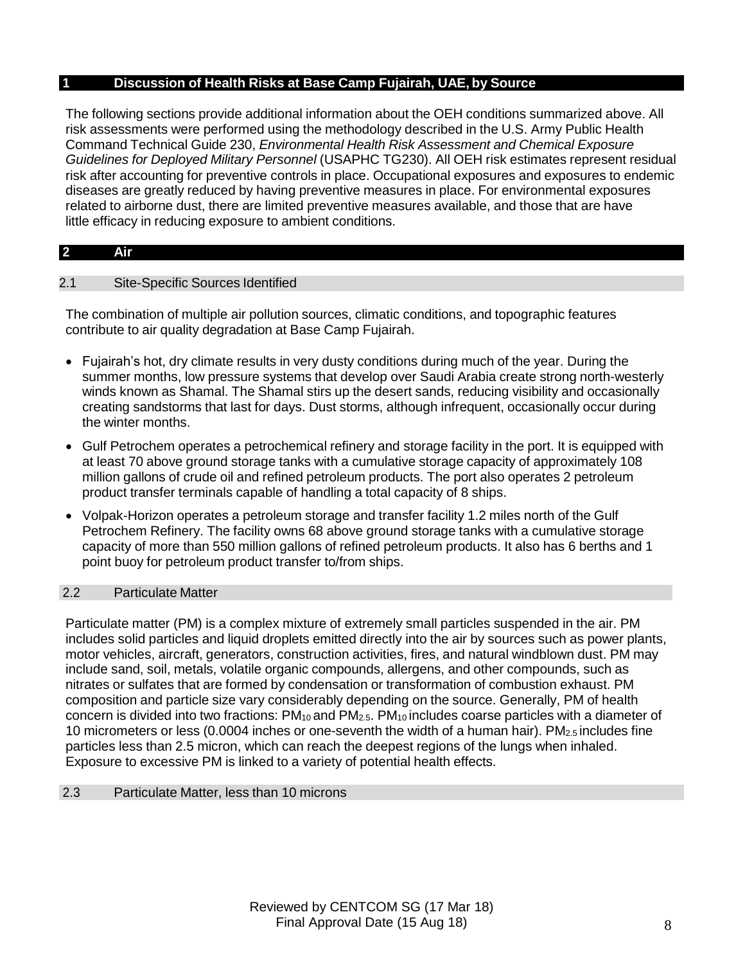# **1 Discussion of Health Risks at Base Camp Fujairah, UAE, by Source**

The following sections provide additional information about the OEH conditions summarized above. All risk assessments were performed using the methodology described in the U.S. Army Public Health Command Technical Guide 230, *Environmental Health Risk Assessment and Chemical Exposure Guidelines for Deployed Military Personnel* (USAPHC TG230). All OEH risk estimates represent residual risk after accounting for preventive controls in place. Occupational exposures and exposures to endemic diseases are greatly reduced by having preventive measures in place. For environmental exposures related to airborne dust, there are limited preventive measures available, and those that are have little efficacy in reducing exposure to ambient conditions.

### **2 Air**

# 2.1 Site-Specific Sources Identified

The combination of multiple air pollution sources, climatic conditions, and topographic features contribute to air quality degradation at Base Camp Fujairah.

- Fujairah's hot, dry climate results in very dusty conditions during much of the year. During the summer months, low pressure systems that develop over Saudi Arabia create strong north-westerly winds known as Shamal. The Shamal stirs up the desert sands, reducing visibility and occasionally creating sandstorms that last for days. Dust storms, although infrequent, occasionally occur during the winter months.
- Gulf Petrochem operates a petrochemical refinery and storage facility in the port. It is equipped with at least 70 above ground storage tanks with a cumulative storage capacity of approximately 108 million gallons of crude oil and refined petroleum products. The port also operates 2 petroleum product transfer terminals capable of handling a total capacity of 8 ships.
- Volpak-Horizon operates a petroleum storage and transfer facility 1.2 miles north of the Gulf Petrochem Refinery. The facility owns 68 above ground storage tanks with a cumulative storage capacity of more than 550 million gallons of refined petroleum products. It also has 6 berths and 1 point buoy for petroleum product transfer to/from ships.

#### 2.2 Particulate Matter

Particulate matter (PM) is a complex mixture of extremely small particles suspended in the air. PM includes solid particles and liquid droplets emitted directly into the air by sources such as power plants, motor vehicles, aircraft, generators, construction activities, fires, and natural windblown dust. PM may include sand, soil, metals, volatile organic compounds, allergens, and other compounds, such as nitrates or sulfates that are formed by condensation or transformation of combustion exhaust. PM composition and particle size vary considerably depending on the source. Generally, PM of health concern is divided into two fractions:  $PM_{10}$  and  $PM_{2.5}$ .  $PM_{10}$  includes coarse particles with a diameter of 10 micrometers or less (0.0004 inches or one-seventh the width of a human hair). PM2.5 includes fine particles less than 2.5 micron, which can reach the deepest regions of the lungs when inhaled. Exposure to excessive PM is linked to a variety of potential health effects.

#### 2.3 Particulate Matter, less than 10 microns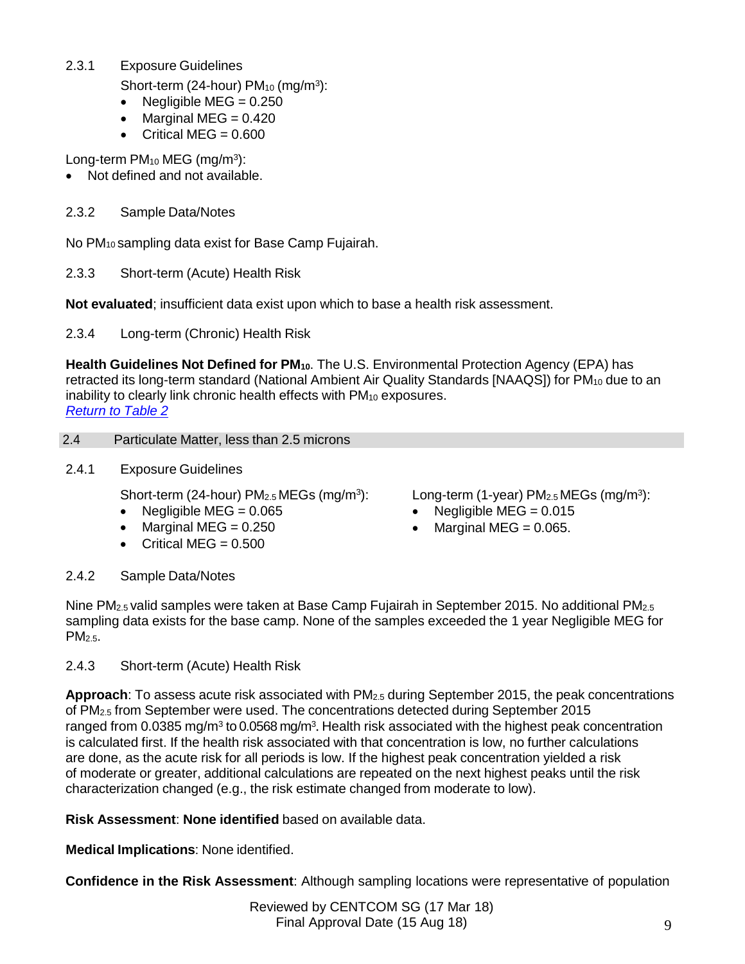2.3.1 Exposure Guidelines

Short-term (24-hour)  $PM_{10}$  (mg/m<sup>3</sup>):

- Negligible MEG =  $0.250$
- Marginal MEG  $= 0.420$
- Critical MEG  $= 0.600$

Long-term PM<sub>10</sub> MEG (mg/m<sup>3</sup>):

Not defined and not available.

# 2.3.2 Sample Data/Notes

No PM<sup>10</sup> sampling data exist for Base Camp Fujairah.

2.3.3 Short-term (Acute) Health Risk

**Not evaluated**; insufficient data exist upon which to base a health risk assessment.

2.3.4 Long-term (Chronic) Health Risk

**Health Guidelines Not Defined for PM10**. The U.S. Environmental Protection Agency (EPA) has retracted its long-term standard (National Ambient Air Quality Standards [NAAQS]) for PM<sub>10</sub> due to an inability to clearly link chronic health effects with PM<sub>10</sub> exposures. *Return to Table 2*

# 2.4 Particulate Matter, less than 2.5 microns

2.4.1 Exposure Guidelines

Short-term (24-hour) PM<sub>2.5</sub> MEGs (mg/m<sup>3</sup>):

- Negligible MEG =  $0.065$
- $\bullet$  Marginal MEG = 0.250
- $\bullet$  Critical MEG = 0.500

Long-term (1-year) PM<sub>2.5</sub> MEGs (mg/m<sup>3</sup>):

- Negligible MEG =  $0.015$
- $\bullet$  Marginal MEG = 0.065.

# 2.4.2 Sample Data/Notes

Nine PM2.5 valid samples were taken at Base Camp Fujairah in September 2015. No additional PM2.5 sampling data exists for the base camp. None of the samples exceeded the 1 year Negligible MEG for PM<sub>2.5</sub>.

2.4.3 Short-term (Acute) Health Risk

**Approach**: To assess acute risk associated with PM2.5 during September 2015, the peak concentrations of PM2.5 from September were used. The concentrations detected during September 2015 ranged from 0.0385 mg/m<sup>3</sup> to 0.0568 mg/m<sup>3</sup>. Health risk associated with the highest peak concentration is calculated first. If the health risk associated with that concentration is low, no further calculations are done, as the acute risk for all periods is low. If the highest peak concentration yielded a risk of moderate or greater, additional calculations are repeated on the next highest peaks until the risk characterization changed (e.g., the risk estimate changed from moderate to low).

**Risk Assessment**: **None identified** based on available data.

**Medical Implications**: None identified.

**Confidence in the Risk Assessment**: Although sampling locations were representative of population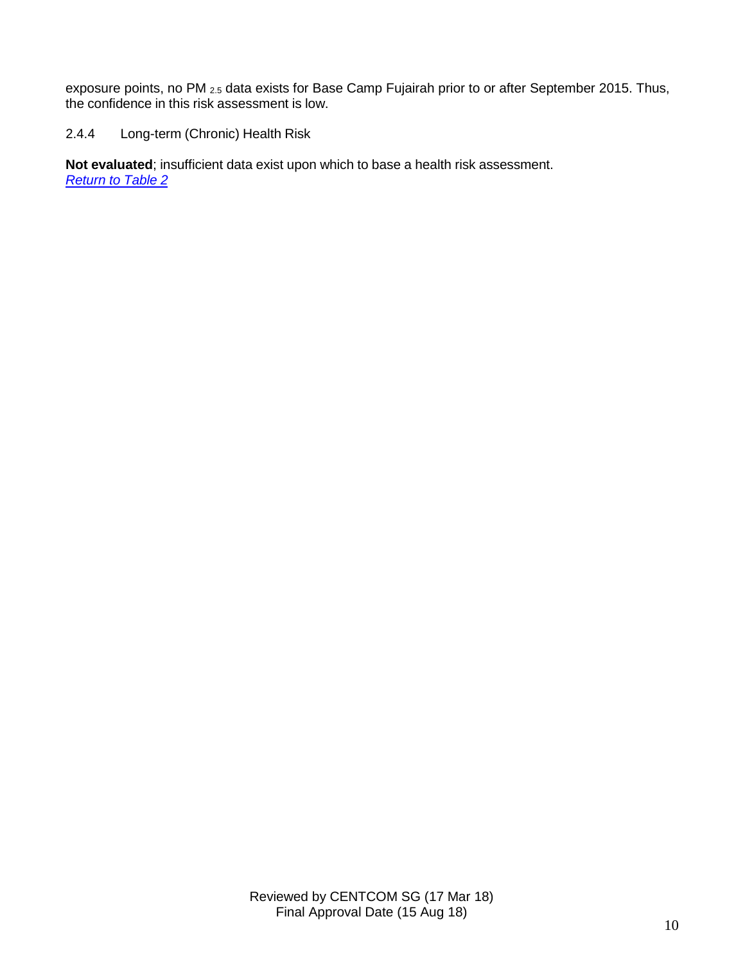exposure points, no PM 2.5 data exists for Base Camp Fujairah prior to or after September 2015. Thus, the confidence in this risk assessment is low.

2.4.4 Long-term (Chronic) Health Risk

**Not evaluated**; insufficient data exist upon which to base a health risk assessment. *Return to Table 2*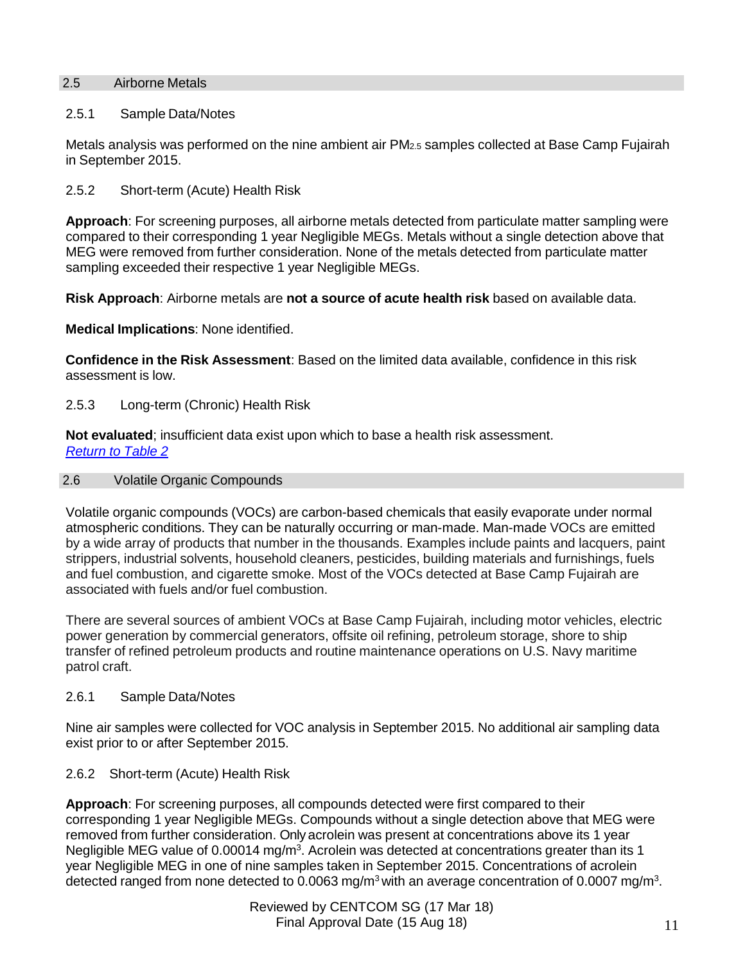# 2.5 Airborne Metals

### 2.5.1 Sample Data/Notes

Metals analysis was performed on the nine ambient air PM2.5 samples collected at Base Camp Fujairah in September 2015.

2.5.2 Short-term (Acute) Health Risk

**Approach**: For screening purposes, all airborne metals detected from particulate matter sampling were compared to their corresponding 1 year Negligible MEGs. Metals without a single detection above that MEG were removed from further consideration. None of the metals detected from particulate matter sampling exceeded their respective 1 year Negligible MEGs.

**Risk Approach**: Airborne metals are **not a source of acute health risk** based on available data.

**Medical Implications**: None identified.

**Confidence in the Risk Assessment**: Based on the limited data available, confidence in this risk assessment is low.

#### 2.5.3 Long-term (Chronic) Health Risk

**Not evaluated**; insufficient data exist upon which to base a health risk assessment. *Return to Table 2*

#### 2.6 Volatile Organic Compounds

Volatile organic compounds (VOCs) are carbon-based chemicals that easily evaporate under normal atmospheric conditions. They can be naturally occurring or man-made. Man-made VOCs are emitted by a wide array of products that number in the thousands. Examples include paints and lacquers, paint strippers, industrial solvents, household cleaners, pesticides, building materials and furnishings, fuels and fuel combustion, and cigarette smoke. Most of the VOCs detected at Base Camp Fujairah are associated with fuels and/or fuel combustion.

There are several sources of ambient VOCs at Base Camp Fujairah, including motor vehicles, electric power generation by commercial generators, offsite oil refining, petroleum storage, shore to ship transfer of refined petroleum products and routine maintenance operations on U.S. Navy maritime patrol craft.

#### 2.6.1 Sample Data/Notes

Nine air samples were collected for VOC analysis in September 2015. No additional air sampling data exist prior to or after September 2015.

#### 2.6.2 Short-term (Acute) Health Risk

**Approach**: For screening purposes, all compounds detected were first compared to their corresponding 1 year Negligible MEGs. Compounds without a single detection above that MEG were removed from further consideration. Only acrolein was present at concentrations above its 1 year Negligible MEG value of 0.00014 mg/m<sup>3</sup>. Acrolein was detected at concentrations greater than its 1 year Negligible MEG in one of nine samples taken in September 2015. Concentrations of acrolein detected ranged from none detected to 0.0063 mg/m<sup>3</sup> with an average concentration of 0.0007 mg/m<sup>3</sup>.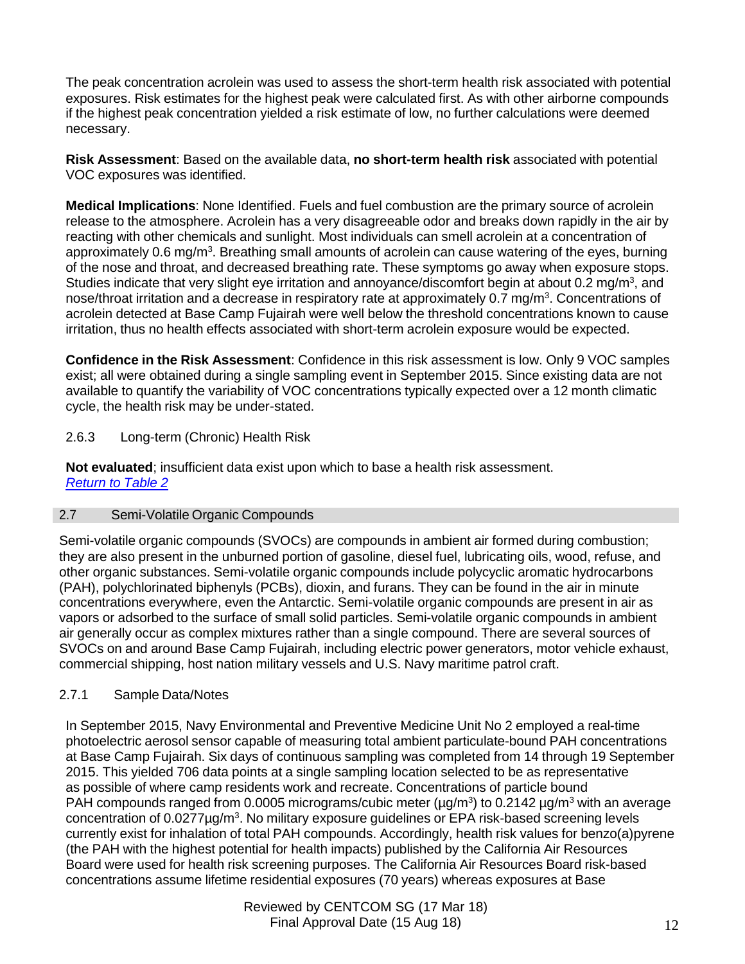The peak concentration acrolein was used to assess the short-term health risk associated with potential exposures. Risk estimates for the highest peak were calculated first. As with other airborne compounds if the highest peak concentration yielded a risk estimate of low, no further calculations were deemed necessary.

**Risk Assessment**: Based on the available data, **no short-term health risk** associated with potential VOC exposures was identified.

**Medical Implications**: None Identified. Fuels and fuel combustion are the primary source of acrolein release to the atmosphere. Acrolein has a very disagreeable odor and breaks down rapidly in the air by reacting with other chemicals and sunlight. Most individuals can smell acrolein at a concentration of approximately 0.6 mg/m<sup>3</sup>. Breathing small amounts of acrolein can cause watering of the eyes, burning of the nose and throat, and decreased breathing rate. These symptoms go away when exposure stops. Studies indicate that very slight eye irritation and annoyance/discomfort begin at about 0.2 mg/m<sup>3</sup>, and nose/throat irritation and a decrease in respiratory rate at approximately 0.7 mg/m<sup>3</sup>. Concentrations of acrolein detected at Base Camp Fujairah were well below the threshold concentrations known to cause irritation, thus no health effects associated with short-term acrolein exposure would be expected.

**Confidence in the Risk Assessment**: Confidence in this risk assessment is low. Only 9 VOC samples exist; all were obtained during a single sampling event in September 2015. Since existing data are not available to quantify the variability of VOC concentrations typically expected over a 12 month climatic cycle, the health risk may be under-stated.

# 2.6.3 Long-term (Chronic) Health Risk

**Not evaluated**; insufficient data exist upon which to base a health risk assessment. *Return to Table 2*

# 2.7 Semi-Volatile Organic Compounds

Semi-volatile organic compounds (SVOCs) are compounds in ambient air formed during combustion; they are also present in the unburned portion of gasoline, diesel fuel, lubricating oils, wood, refuse, and other organic substances. Semi-volatile organic compounds include polycyclic aromatic hydrocarbons (PAH), polychlorinated biphenyls (PCBs), dioxin, and furans. They can be found in the air in minute concentrations everywhere, even the Antarctic. Semi-volatile organic compounds are present in air as vapors or adsorbed to the surface of small solid particles. Semi-volatile organic compounds in ambient air generally occur as complex mixtures rather than a single compound. There are several sources of SVOCs on and around Base Camp Fujairah, including electric power generators, motor vehicle exhaust, commercial shipping, host nation military vessels and U.S. Navy maritime patrol craft.

# 2.7.1 Sample Data/Notes

In September 2015, Navy Environmental and Preventive Medicine Unit No 2 employed a real-time photoelectric aerosol sensor capable of measuring total ambient particulate-bound PAH concentrations at Base Camp Fujairah. Six days of continuous sampling was completed from 14 through 19 September 2015. This yielded 706 data points at a single sampling location selected to be as representative as possible of where camp residents work and recreate. Concentrations of particle bound PAH compounds ranged from 0.0005 micrograms/cubic meter (µg/m<sup>3</sup>) to 0.2142 µg/m<sup>3</sup> with an average concentration of 0.0277µg/m<sup>3</sup>. No military exposure guidelines or EPA risk-based screening levels currently exist for inhalation of total PAH compounds. Accordingly, health risk values for benzo(a)pyrene (the PAH with the highest potential for health impacts) published by the California Air Resources Board were used for health risk screening purposes. The California Air Resources Board risk-based concentrations assume lifetime residential exposures (70 years) whereas exposures at Base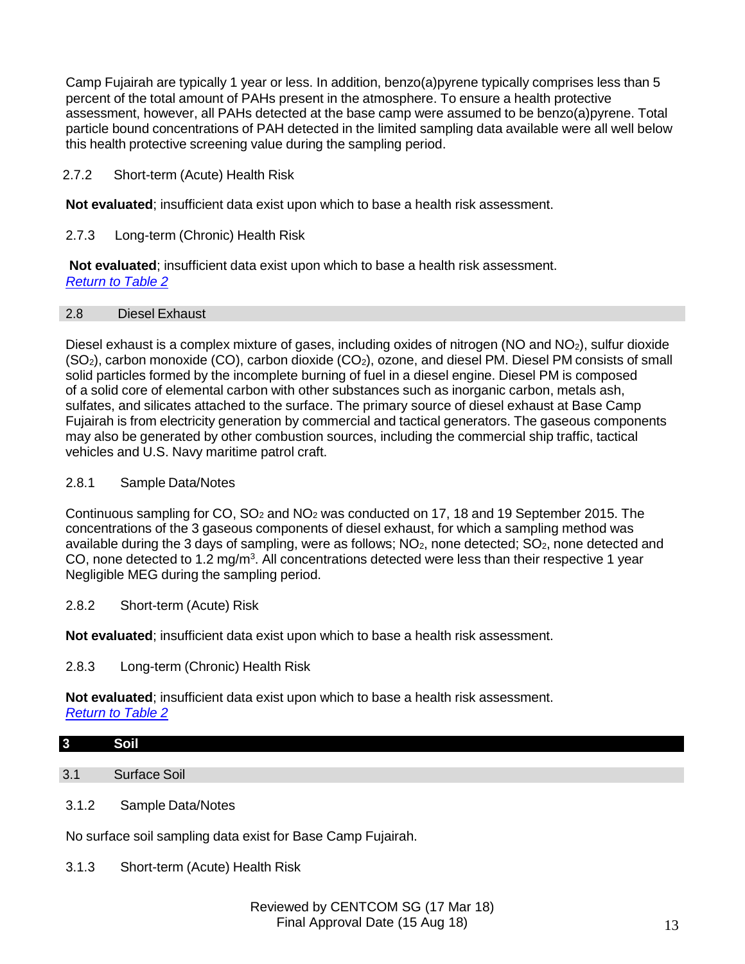Camp Fujairah are typically 1 year or less. In addition, benzo(a)pyrene typically comprises less than 5 percent of the total amount of PAHs present in the atmosphere. To ensure a health protective assessment, however, all PAHs detected at the base camp were assumed to be benzo(a)pyrene. Total particle bound concentrations of PAH detected in the limited sampling data available were all well below this health protective screening value during the sampling period.

# 2.7.2 Short-term (Acute) Health Risk

**Not evaluated**; insufficient data exist upon which to base a health risk assessment.

# 2.7.3 Long-term (Chronic) Health Risk

**Not evaluated**; insufficient data exist upon which to base a health risk assessment. *Return to Table 2*

### 2.8 Diesel Exhaust

Diesel exhaust is a complex mixture of gases, including oxides of nitrogen (NO and NO2), sulfur dioxide (SO2), carbon monoxide (CO), carbon dioxide (CO2), ozone, and diesel PM. Diesel PM consists of small solid particles formed by the incomplete burning of fuel in a diesel engine. Diesel PM is composed of a solid core of elemental carbon with other substances such as inorganic carbon, metals ash, sulfates, and silicates attached to the surface. The primary source of diesel exhaust at Base Camp Fujairah is from electricity generation by commercial and tactical generators. The gaseous components may also be generated by other combustion sources, including the commercial ship traffic, tactical vehicles and U.S. Navy maritime patrol craft.

# 2.8.1 Sample Data/Notes

Continuous sampling for  $CO$ ,  $SO<sub>2</sub>$  and  $NO<sub>2</sub>$  was conducted on 17, 18 and 19 September 2015. The concentrations of the 3 gaseous components of diesel exhaust, for which a sampling method was available during the 3 days of sampling, were as follows;  $NO<sub>2</sub>$ , none detected;  $SO<sub>2</sub>$ , none detected and CO, none detected to 1.2 mg/m<sup>3</sup>. All concentrations detected were less than their respective 1 year Negligible MEG during the sampling period.

# 2.8.2 Short-term (Acute) Risk

**Not evaluated**; insufficient data exist upon which to base a health risk assessment.

# 2.8.3 Long-term (Chronic) Health Risk

**Not evaluated**; insufficient data exist upon which to base a health risk assessment. *Return to Table 2*

#### **3 Soil**

# 3.1 Surface Soil

3.1.2 Sample Data/Notes

No surface soil sampling data exist for Base Camp Fujairah.

3.1.3 Short-term (Acute) Health Risk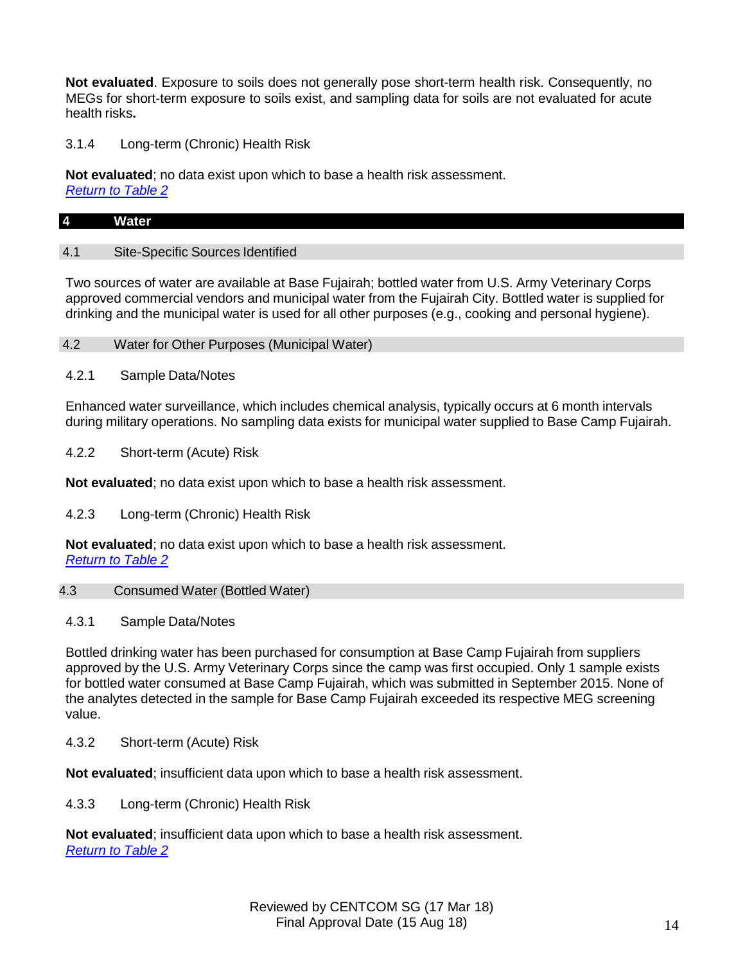**Not evaluated**. Exposure to soils does not generally pose short-term health risk. Consequently, no MEGs for short-term exposure to soils exist, and sampling data for soils are not evaluated for acute health risks**.**

3.1.4 Long-term (Chronic) Health Risk

**Not evaluated**; no data exist upon which to base a health risk assessment. *Return to Table 2*

# **4 Water**

# 4.1 Site-Specific Sources Identified

Two sources of water are available at Base Fujairah; bottled water from U.S. Army Veterinary Corps approved commercial vendors and municipal water from the Fujairah City. Bottled water is supplied for drinking and the municipal water is used for all other purposes (e.g., cooking and personal hygiene).

- 4.2 Water for Other Purposes (Municipal Water)
- 4.2.1 Sample Data/Notes

Enhanced water surveillance, which includes chemical analysis, typically occurs at 6 month intervals during military operations. No sampling data exists for municipal water supplied to Base Camp Fujairah.

4.2.2 Short-term (Acute) Risk

**Not evaluated**; no data exist upon which to base a health risk assessment.

4.2.3 Long-term (Chronic) Health Risk

**Not evaluated**; no data exist upon which to base a health risk assessment. *Return to Table 2*

# 4.3 Consumed Water (Bottled Water)

# 4.3.1 Sample Data/Notes

Bottled drinking water has been purchased for consumption at Base Camp Fujairah from suppliers approved by the U.S. Army Veterinary Corps since the camp was first occupied. Only 1 sample exists for bottled water consumed at Base Camp Fujairah, which was submitted in September 2015. None of the analytes detected in the sample for Base Camp Fujairah exceeded its respective MEG screening value.

4.3.2 Short-term (Acute) Risk

**Not evaluated**; insufficient data upon which to base a health risk assessment.

4.3.3 Long-term (Chronic) Health Risk

**Not evaluated**; insufficient data upon which to base a health risk assessment. *Return to Table 2*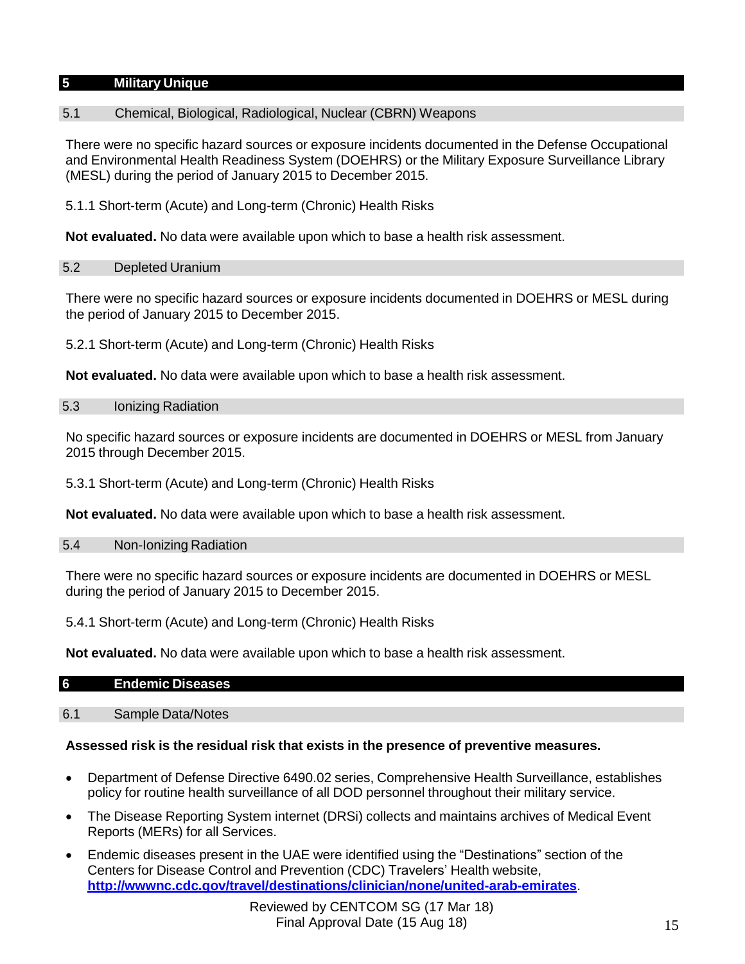# **5 Military Unique**

# 5.1 Chemical, Biological, Radiological, Nuclear (CBRN) Weapons

There were no specific hazard sources or exposure incidents documented in the Defense Occupational and Environmental Health Readiness System (DOEHRS) or the Military Exposure Surveillance Library (MESL) during the period of January 2015 to December 2015.

5.1.1 Short-term (Acute) and Long-term (Chronic) Health Risks

**Not evaluated.** No data were available upon which to base a health risk assessment.

### 5.2 Depleted Uranium

There were no specific hazard sources or exposure incidents documented in DOEHRS or MESL during the period of January 2015 to December 2015.

5.2.1 Short-term (Acute) and Long-term (Chronic) Health Risks

**Not evaluated.** No data were available upon which to base a health risk assessment.

#### 5.3 Ionizing Radiation

No specific hazard sources or exposure incidents are documented in DOEHRS or MESL from January 2015 through December 2015.

5.3.1 Short-term (Acute) and Long-term (Chronic) Health Risks

**Not evaluated.** No data were available upon which to base a health risk assessment.

### 5.4 Non-Ionizing Radiation

There were no specific hazard sources or exposure incidents are documented in DOEHRS or MESL during the period of January 2015 to December 2015.

5.4.1 Short-term (Acute) and Long-term (Chronic) Health Risks

**Not evaluated.** No data were available upon which to base a health risk assessment.

| $6\overline{6}$ | <b>Endemic Diseases</b> |
|-----------------|-------------------------|
|                 |                         |

# 6.1 Sample Data/Notes

# **Assessed risk is the residual risk that exists in the presence of preventive measures.**

- Department of Defense Directive 6490.02 series, Comprehensive Health Surveillance, establishes policy for routine health surveillance of all DOD personnel throughout their military service.
- The Disease Reporting System internet (DRSi) collects and maintains archives of Medical Event Reports (MERs) for all Services.
- Endemic diseases present in the UAE were identified using the "Destinations" section of the Centers for Disease Control and Prevention (CDC) Travelers' Health website, **<http://wwwnc.cdc.gov/travel/destinations/clinician/none/united-arab-emirates>**.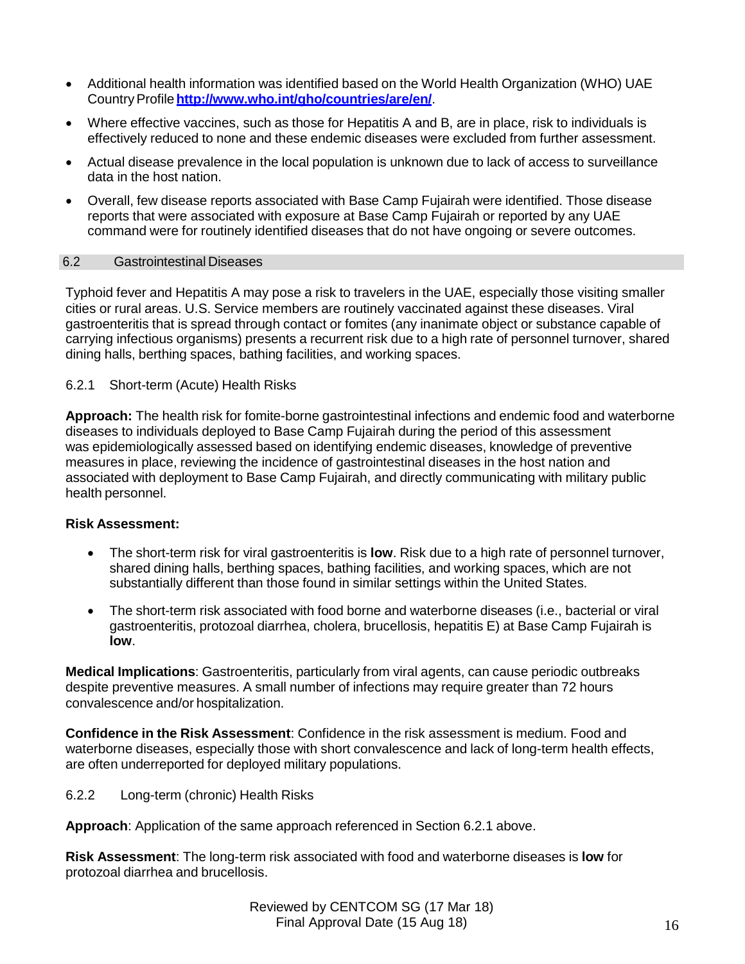- Additional health information was identified based on the World Health Organization (WHO) UAE CountryProfile**<http://www.who.int/gho/countries/are/en/>**.
- Where effective vaccines, such as those for Hepatitis A and B, are in place, risk to individuals is effectively reduced to none and these endemic diseases were excluded from further assessment.
- Actual disease prevalence in the local population is unknown due to lack of access to surveillance data in the host nation.
- Overall, few disease reports associated with Base Camp Fujairah were identified. Those disease reports that were associated with exposure at Base Camp Fujairah or reported by any UAE command were for routinely identified diseases that do not have ongoing or severe outcomes.

# 6.2 Gastrointestinal Diseases

Typhoid fever and Hepatitis A may pose a risk to travelers in the UAE, especially those visiting smaller cities or rural areas. U.S. Service members are routinely vaccinated against these diseases. Viral gastroenteritis that is spread through contact or fomites (any inanimate object or substance capable of carrying infectious organisms) presents a recurrent risk due to a high rate of personnel turnover, shared dining halls, berthing spaces, bathing facilities, and working spaces.

#### 6.2.1 Short-term (Acute) Health Risks

**Approach:** The health risk for fomite-borne gastrointestinal infections and endemic food and waterborne diseases to individuals deployed to Base Camp Fujairah during the period of this assessment was epidemiologically assessed based on identifying endemic diseases, knowledge of preventive measures in place, reviewing the incidence of gastrointestinal diseases in the host nation and associated with deployment to Base Camp Fujairah, and directly communicating with military public health personnel.

#### **Risk Assessment:**

- The short-term risk for viral gastroenteritis is **low**. Risk due to a high rate of personnel turnover, shared dining halls, berthing spaces, bathing facilities, and working spaces, which are not substantially different than those found in similar settings within the United States.
- The short-term risk associated with food borne and waterborne diseases (i.e., bacterial or viral gastroenteritis, protozoal diarrhea, cholera, brucellosis, hepatitis E) at Base Camp Fujairah is **low**.

**Medical Implications**: Gastroenteritis, particularly from viral agents, can cause periodic outbreaks despite preventive measures. A small number of infections may require greater than 72 hours convalescence and/or hospitalization.

**Confidence in the Risk Assessment**: Confidence in the risk assessment is medium. Food and waterborne diseases, especially those with short convalescence and lack of long-term health effects, are often underreported for deployed military populations.

6.2.2 Long-term (chronic) Health Risks

**Approach**: Application of the same approach referenced in Section 6.2.1 above.

**Risk Assessment**: The long-term risk associated with food and waterborne diseases is **low** for protozoal diarrhea and brucellosis.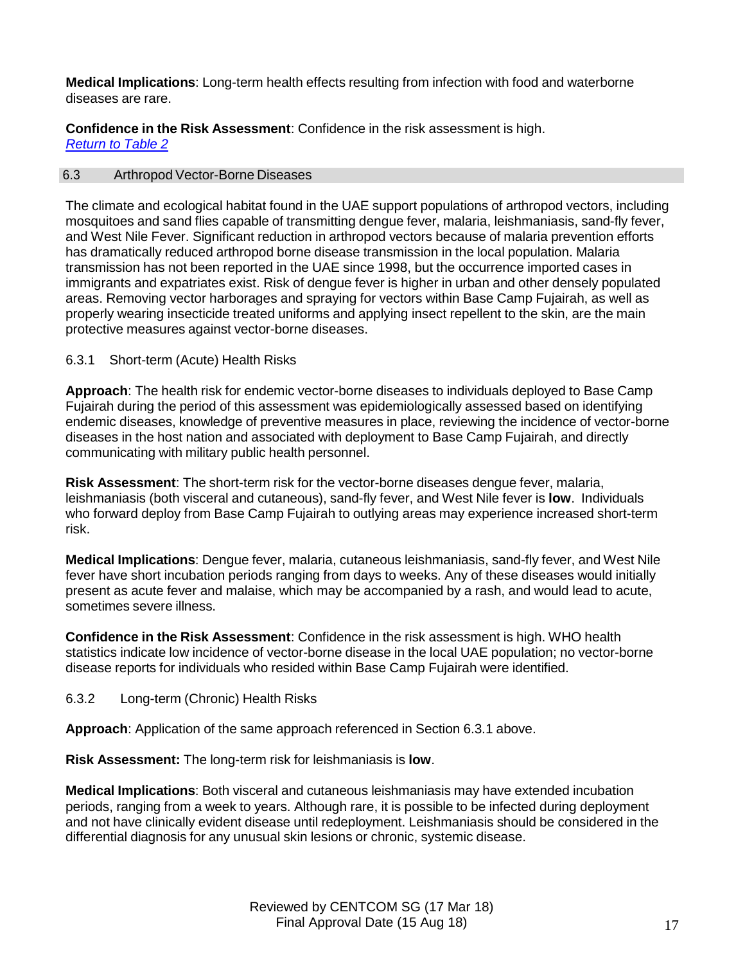**Medical Implications**: Long-term health effects resulting from infection with food and waterborne diseases are rare.

**Confidence in the Risk Assessment**: Confidence in the risk assessment is high. *Return to Table 2*

### 6.3 Arthropod Vector-Borne Diseases

The climate and ecological habitat found in the UAE support populations of arthropod vectors, including mosquitoes and sand flies capable of transmitting dengue fever, malaria, leishmaniasis, sand-fly fever, and West Nile Fever. Significant reduction in arthropod vectors because of malaria prevention efforts has dramatically reduced arthropod borne disease transmission in the local population. Malaria transmission has not been reported in the UAE since 1998, but the occurrence imported cases in immigrants and expatriates exist. Risk of dengue fever is higher in urban and other densely populated areas. Removing vector harborages and spraying for vectors within Base Camp Fujairah, as well as properly wearing insecticide treated uniforms and applying insect repellent to the skin, are the main protective measures against vector-borne diseases.

### 6.3.1 Short-term (Acute) Health Risks

**Approach**: The health risk for endemic vector-borne diseases to individuals deployed to Base Camp Fujairah during the period of this assessment was epidemiologically assessed based on identifying endemic diseases, knowledge of preventive measures in place, reviewing the incidence of vector-borne diseases in the host nation and associated with deployment to Base Camp Fujairah, and directly communicating with military public health personnel.

**Risk Assessment**: The short-term risk for the vector-borne diseases dengue fever, malaria, leishmaniasis (both visceral and cutaneous), sand-fly fever, and West Nile fever is **low**. Individuals who forward deploy from Base Camp Fujairah to outlying areas may experience increased short-term risk.

**Medical Implications**: Dengue fever, malaria, cutaneous leishmaniasis, sand-fly fever, and West Nile fever have short incubation periods ranging from days to weeks. Any of these diseases would initially present as acute fever and malaise, which may be accompanied by a rash, and would lead to acute, sometimes severe illness.

**Confidence in the Risk Assessment**: Confidence in the risk assessment is high. WHO health statistics indicate low incidence of vector-borne disease in the local UAE population; no vector-borne disease reports for individuals who resided within Base Camp Fujairah were identified.

6.3.2 Long-term (Chronic) Health Risks

**Approach**: Application of the same approach referenced in Section 6.3.1 above.

**Risk Assessment:** The long-term risk for leishmaniasis is **low**.

**Medical Implications**: Both visceral and cutaneous leishmaniasis may have extended incubation periods, ranging from a week to years. Although rare, it is possible to be infected during deployment and not have clinically evident disease until redeployment. Leishmaniasis should be considered in the differential diagnosis for any unusual skin lesions or chronic, systemic disease.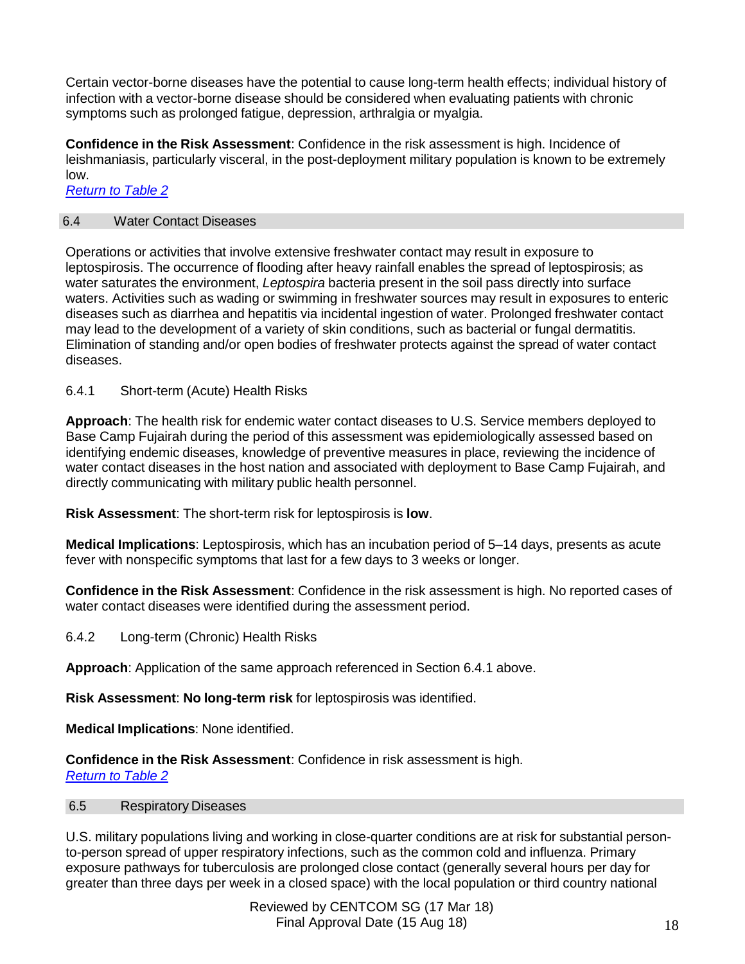Certain vector-borne diseases have the potential to cause long-term health effects; individual history of infection with a vector-borne disease should be considered when evaluating patients with chronic symptoms such as prolonged fatigue, depression, arthralgia or myalgia.

**Confidence in the Risk Assessment**: Confidence in the risk assessment is high. Incidence of leishmaniasis, particularly visceral, in the post-deployment military population is known to be extremely low.

*Return to Table 2*

# 6.4 Water Contact Diseases

Operations or activities that involve extensive freshwater contact may result in exposure to leptospirosis. The occurrence of flooding after heavy rainfall enables the spread of leptospirosis; as water saturates the environment, *Leptospira* bacteria present in the soil pass directly into surface waters. Activities such as wading or swimming in freshwater sources may result in exposures to enteric diseases such as diarrhea and hepatitis via incidental ingestion of water. Prolonged freshwater contact may lead to the development of a variety of skin conditions, such as bacterial or fungal dermatitis. Elimination of standing and/or open bodies of freshwater protects against the spread of water contact diseases.

# 6.4.1 Short-term (Acute) Health Risks

**Approach**: The health risk for endemic water contact diseases to U.S. Service members deployed to Base Camp Fujairah during the period of this assessment was epidemiologically assessed based on identifying endemic diseases, knowledge of preventive measures in place, reviewing the incidence of water contact diseases in the host nation and associated with deployment to Base Camp Fujairah, and directly communicating with military public health personnel.

**Risk Assessment**: The short-term risk for leptospirosis is **low**.

**Medical Implications**: Leptospirosis, which has an incubation period of 5–14 days, presents as acute fever with nonspecific symptoms that last for a few days to 3 weeks or longer.

**Confidence in the Risk Assessment**: Confidence in the risk assessment is high. No reported cases of water contact diseases were identified during the assessment period.

6.4.2 Long-term (Chronic) Health Risks

**Approach**: Application of the same approach referenced in Section 6.4.1 above.

**Risk Assessment**: **No long-term risk** for leptospirosis was identified.

**Medical Implications**: None identified.

**Confidence in the Risk Assessment**: Confidence in risk assessment is high. *Return to Table 2*

# 6.5 Respiratory Diseases

U.S. military populations living and working in close-quarter conditions are at risk for substantial personto-person spread of upper respiratory infections, such as the common cold and influenza. Primary exposure pathways for tuberculosis are prolonged close contact (generally several hours per day for greater than three days per week in a closed space) with the local population or third country national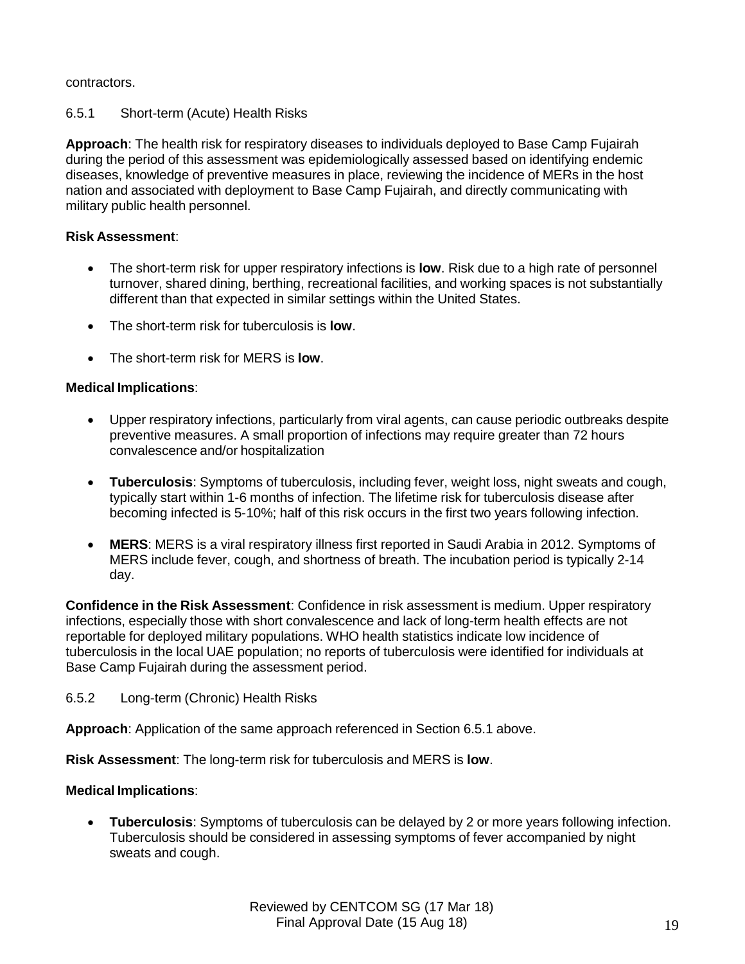# contractors.

# 6.5.1 Short-term (Acute) Health Risks

**Approach**: The health risk for respiratory diseases to individuals deployed to Base Camp Fujairah during the period of this assessment was epidemiologically assessed based on identifying endemic diseases, knowledge of preventive measures in place, reviewing the incidence of MERs in the host nation and associated with deployment to Base Camp Fujairah, and directly communicating with military public health personnel.

# **Risk Assessment**:

- The short-term risk for upper respiratory infections is **low**. Risk due to a high rate of personnel turnover, shared dining, berthing, recreational facilities, and working spaces is not substantially different than that expected in similar settings within the United States.
- The short-term risk for tuberculosis is **low**.
- The short-term risk for MERS is **low**.

# **Medical Implications**:

- Upper respiratory infections, particularly from viral agents, can cause periodic outbreaks despite preventive measures. A small proportion of infections may require greater than 72 hours convalescence and/or hospitalization
- **Tuberculosis**: Symptoms of tuberculosis, including fever, weight loss, night sweats and cough, typically start within 1-6 months of infection. The lifetime risk for tuberculosis disease after becoming infected is 5-10%; half of this risk occurs in the first two years following infection.
- **MERS**: MERS is a viral respiratory illness first reported in Saudi Arabia in 2012. Symptoms of MERS include fever, cough, and shortness of breath. The incubation period is typically 2-14 day.

**Confidence in the Risk Assessment**: Confidence in risk assessment is medium. Upper respiratory infections, especially those with short convalescence and lack of long-term health effects are not reportable for deployed military populations. WHO health statistics indicate low incidence of tuberculosis in the local UAE population; no reports of tuberculosis were identified for individuals at Base Camp Fujairah during the assessment period.

# 6.5.2 Long-term (Chronic) Health Risks

**Approach**: Application of the same approach referenced in Section 6.5.1 above.

**Risk Assessment**: The long-term risk for tuberculosis and MERS is **low**.

# **Medical Implications**:

 **Tuberculosis**: Symptoms of tuberculosis can be delayed by 2 or more years following infection. Tuberculosis should be considered in assessing symptoms of fever accompanied by night sweats and cough.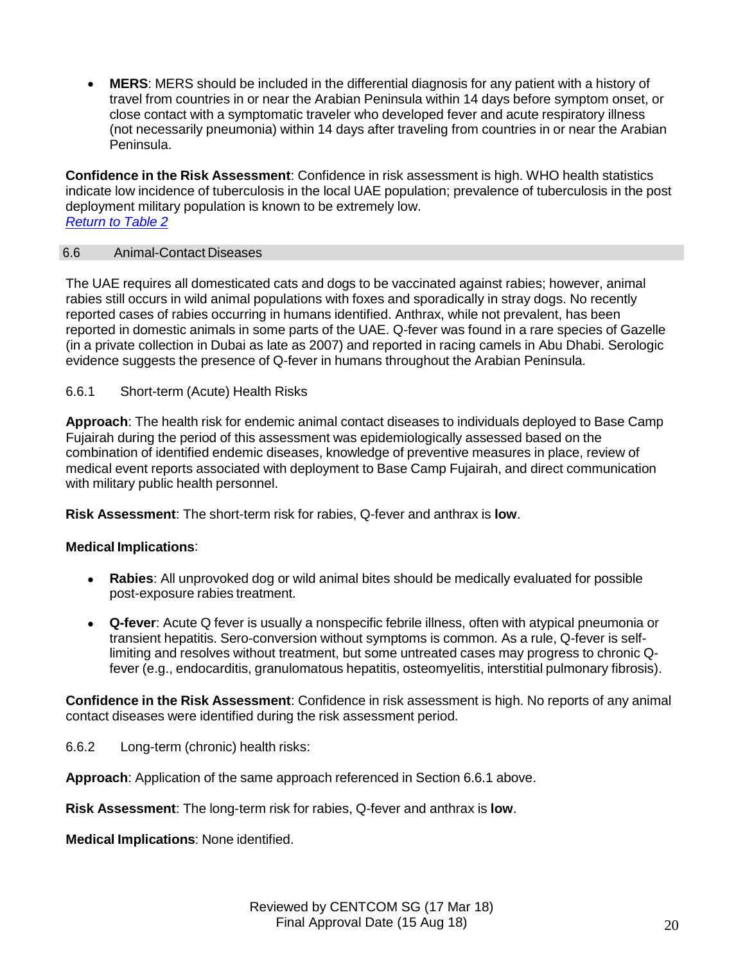**MERS**: MERS should be included in the differential diagnosis for any patient with a history of travel from countries in or near the Arabian Peninsula within 14 days before symptom onset, or close contact with a symptomatic traveler who developed fever and acute respiratory illness (not necessarily pneumonia) within 14 days after traveling from countries in or near the Arabian Peninsula.

**Confidence in the Risk Assessment**: Confidence in risk assessment is high. WHO health statistics indicate low incidence of tuberculosis in the local UAE population; prevalence of tuberculosis in the post deployment military population is known to be extremely low. *Return to Table 2*

### 6.6 Animal-Contact Diseases

The UAE requires all domesticated cats and dogs to be vaccinated against rabies; however, animal rabies still occurs in wild animal populations with foxes and sporadically in stray dogs. No recently reported cases of rabies occurring in humans identified. Anthrax, while not prevalent, has been reported in domestic animals in some parts of the UAE. Q-fever was found in a rare species of Gazelle (in a private collection in Dubai as late as 2007) and reported in racing camels in Abu Dhabi. Serologic evidence suggests the presence of Q-fever in humans throughout the Arabian Peninsula.

# 6.6.1 Short-term (Acute) Health Risks

**Approach**: The health risk for endemic animal contact diseases to individuals deployed to Base Camp Fujairah during the period of this assessment was epidemiologically assessed based on the combination of identified endemic diseases, knowledge of preventive measures in place, review of medical event reports associated with deployment to Base Camp Fujairah, and direct communication with military public health personnel.

**Risk Assessment**: The short-term risk for rabies, Q-fever and anthrax is **low**.

# **Medical Implications**:

- **Rabies**: All unprovoked dog or wild animal bites should be medically evaluated for possible post-exposure rabies treatment.
- **Q-fever**: Acute Q fever is usually a nonspecific febrile illness, often with atypical pneumonia or transient hepatitis. Sero-conversion without symptoms is common. As a rule, Q-fever is selflimiting and resolves without treatment, but some untreated cases may progress to chronic Qfever (e.g., endocarditis, granulomatous hepatitis, osteomyelitis, interstitial pulmonary fibrosis).

**Confidence in the Risk Assessment**: Confidence in risk assessment is high. No reports of any animal contact diseases were identified during the risk assessment period.

6.6.2 Long-term (chronic) health risks:

**Approach**: Application of the same approach referenced in Section 6.6.1 above.

**Risk Assessment**: The long-term risk for rabies, Q-fever and anthrax is **low**.

**Medical Implications**: None identified.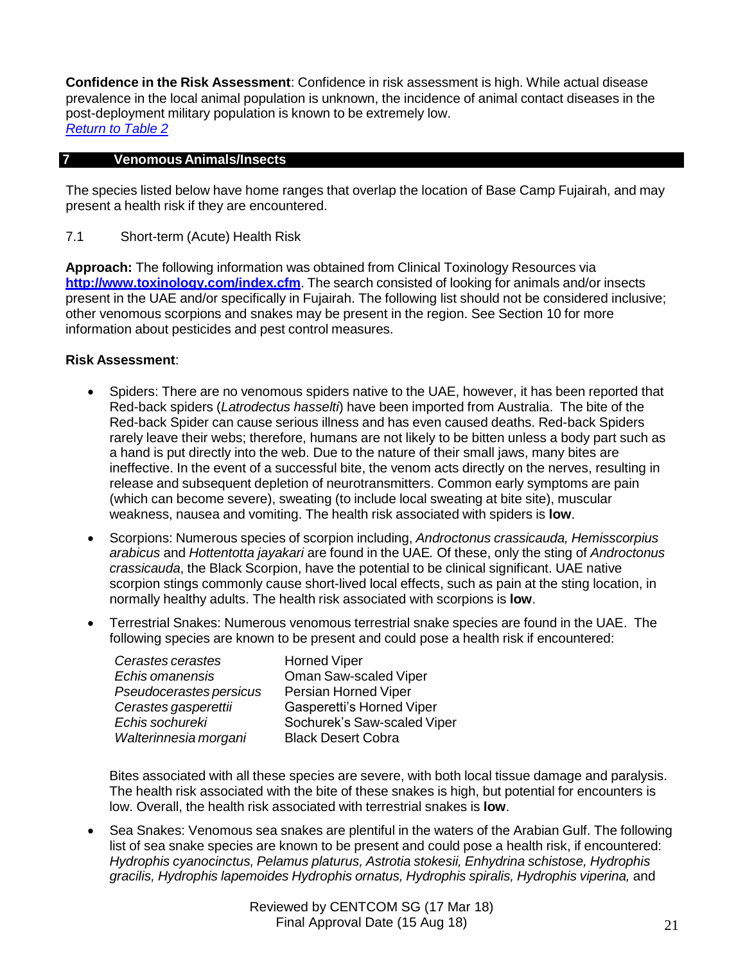**Confidence in the Risk Assessment**: Confidence in risk assessment is high. While actual disease prevalence in the local animal population is unknown, the incidence of animal contact diseases in the post-deployment military population is known to be extremely low. *Return to Table 2*

# **7 Venomous Animals/Insects**

The species listed below have home ranges that overlap the location of Base Camp Fujairah, and may present a health risk if they are encountered.

7.1 Short-term (Acute) Health Risk

**Approach:** The following information was obtained from Clinical Toxinology Resources via **<http://www.toxinology.com/index.cfm>**. The search consisted of looking for animals and/or insects present in the UAE and/or specifically in Fujairah. The following list should not be considered inclusive; other venomous scorpions and snakes may be present in the region. See Section 10 for more information about pesticides and pest control measures.

### **Risk Assessment**:

- Spiders: There are no venomous spiders native to the UAE, however, it has been reported that Red-back spiders (*Latrodectus hasselti*) have been imported from Australia. The bite of the Red-back Spider can cause serious illness and has even caused deaths. Red-back Spiders rarely leave their webs; therefore, humans are not likely to be bitten unless a body part such as a hand is put directly into the web. Due to the nature of their small jaws, many bites are ineffective. In the event of a successful bite, the venom acts directly on the nerves, resulting in release and subsequent depletion of neurotransmitters. Common early symptoms are pain (which can become severe), sweating (to include local sweating at bite site), muscular weakness, nausea and vomiting. The health risk associated with spiders is **low**.
- Scorpions: Numerous species of scorpion including, *Androctonus crassicauda, Hemisscorpius arabicus* and *Hottentotta jayakari* are found in the UAE*.* Of these, only the sting of *Androctonus crassicauda*, the Black Scorpion, have the potential to be clinical significant. UAE native scorpion stings commonly cause short-lived local effects, such as pain at the sting location, in normally healthy adults. The health risk associated with scorpions is **low**.
- Terrestrial Snakes: Numerous venomous terrestrial snake species are found in the UAE. The following species are known to be present and could pose a health risk if encountered:

| Cerastes cerastes       | <b>Horned Viper</b>         |
|-------------------------|-----------------------------|
| Echis omanensis         | Oman Saw-scaled Viper       |
| Pseudocerastes persicus | Persian Horned Viper        |
| Cerastes gasperettii    | Gasperetti's Horned Viper   |
| Echis sochureki         | Sochurek's Saw-scaled Viper |
| Walterinnesia morgani   | <b>Black Desert Cobra</b>   |

Bites associated with all these species are severe, with both local tissue damage and paralysis. The health risk associated with the bite of these snakes is high, but potential for encounters is low. Overall, the health risk associated with terrestrial snakes is **low**.

 Sea Snakes: Venomous sea snakes are plentiful in the waters of the Arabian Gulf. The following list of sea snake species are known to be present and could pose a health risk, if encountered: *Hydrophis cyanocinctus, Pelamus platurus, Astrotia stokesii, Enhydrina schistose, Hydrophis gracilis, Hydrophis lapemoides Hydrophis ornatus, Hydrophis spiralis, Hydrophis viperina,* and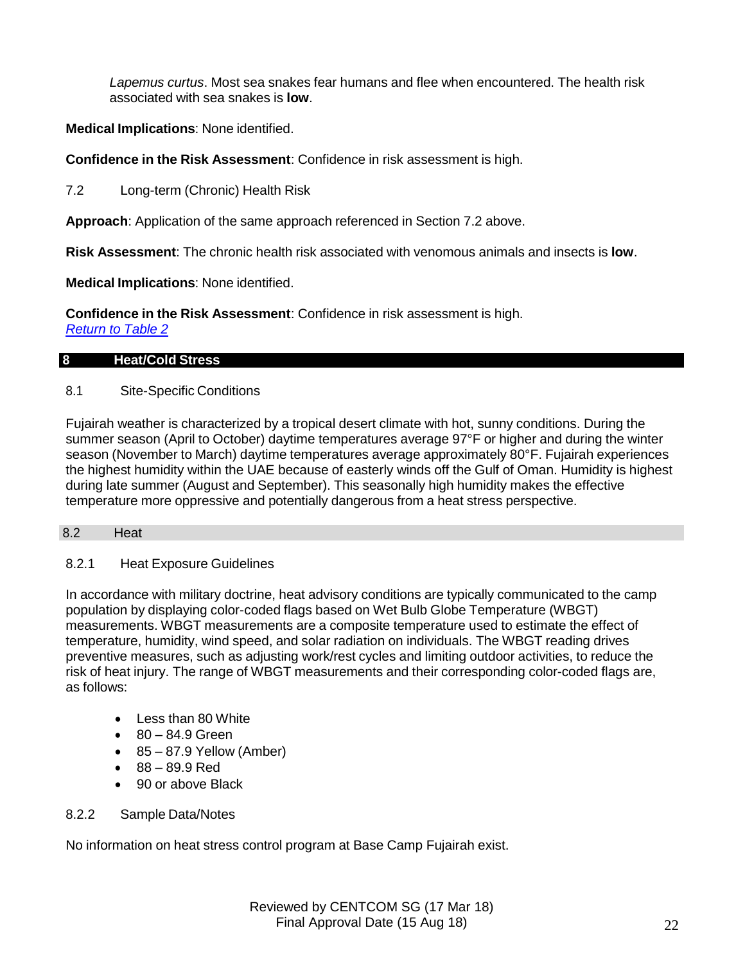*Lapemus curtus*. Most sea snakes fear humans and flee when encountered. The health risk associated with sea snakes is **low**.

# **Medical Implications**: None identified.

**Confidence in the Risk Assessment**: Confidence in risk assessment is high.

7.2 Long-term (Chronic) Health Risk

**Approach**: Application of the same approach referenced in Section 7.2 above.

**Risk Assessment**: The chronic health risk associated with venomous animals and insects is **low**.

**Medical Implications**: None identified.

**Confidence in the Risk Assessment**: Confidence in risk assessment is high.

*Return to Table 2*

#### **8 Heat/Cold Stress**

### 8.1 Site-Specific Conditions

Fujairah weather is characterized by a tropical desert climate with hot, sunny conditions. During the summer season (April to October) daytime temperatures average 97°F or higher and during the winter season (November to March) daytime temperatures average approximately 80°F. Fujairah experiences the highest humidity within the UAE because of easterly winds off the Gulf of Oman. Humidity is highest during late summer (August and September). This seasonally high humidity makes the effective temperature more oppressive and potentially dangerous from a heat stress perspective.

#### 8.2 Heat

#### 8.2.1 Heat Exposure Guidelines

In accordance with military doctrine, heat advisory conditions are typically communicated to the camp population by displaying color-coded flags based on Wet Bulb Globe Temperature (WBGT) measurements. WBGT measurements are a composite temperature used to estimate the effect of temperature, humidity, wind speed, and solar radiation on individuals. The WBGT reading drives preventive measures, such as adjusting work/rest cycles and limiting outdoor activities, to reduce the risk of heat injury. The range of WBGT measurements and their corresponding color-coded flags are, as follows:

- Less than 80 White
- 80 84.9 Green
- $\bullet$  85 87.9 Yellow (Amber)
- 88 89.9 Red
- 90 or above Black

#### 8.2.2 Sample Data/Notes

No information on heat stress control program at Base Camp Fujairah exist.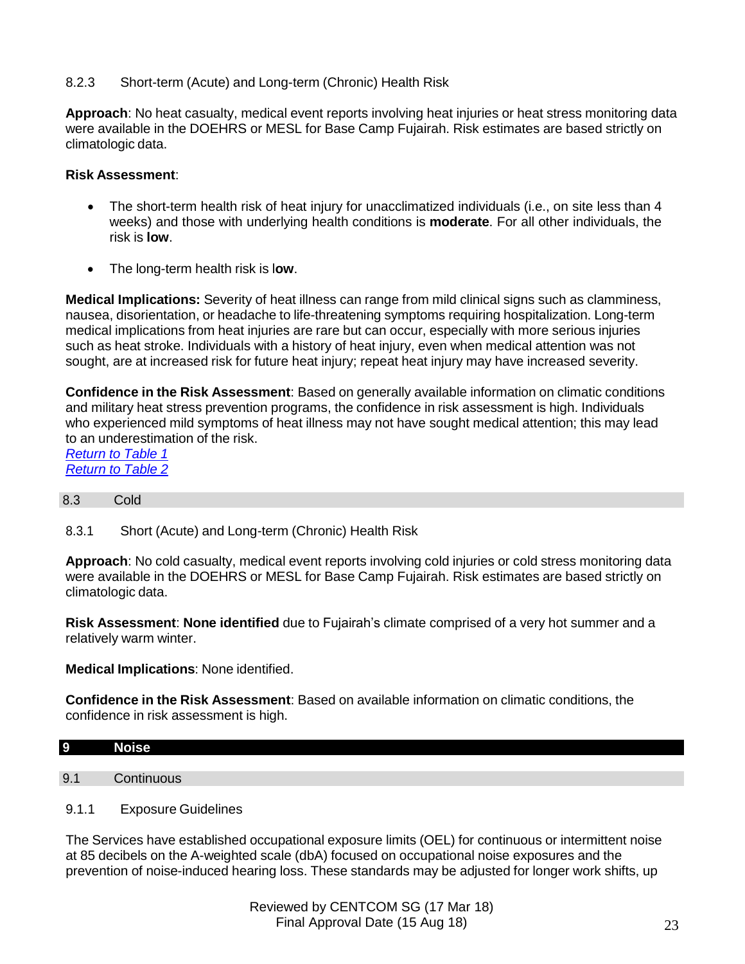# 8.2.3 Short-term (Acute) and Long-term (Chronic) Health Risk

**Approach**: No heat casualty, medical event reports involving heat injuries or heat stress monitoring data were available in the DOEHRS or MESL for Base Camp Fujairah. Risk estimates are based strictly on climatologic data.

### **Risk Assessment**:

- The short-term health risk of heat injury for unacclimatized individuals (i.e., on site less than 4 weeks) and those with underlying health conditions is **moderate**. For all other individuals, the risk is **low**.
- The long-term health risk is l**ow**.

**Medical Implications:** Severity of heat illness can range from mild clinical signs such as clamminess, nausea, disorientation, or headache to life-threatening symptoms requiring hospitalization. Long-term medical implications from heat injuries are rare but can occur, especially with more serious injuries such as heat stroke. Individuals with a history of heat injury, even when medical attention was not sought, are at increased risk for future heat injury; repeat heat injury may have increased severity.

**Confidence in the Risk Assessment**: Based on generally available information on climatic conditions and military heat stress prevention programs, the confidence in risk assessment is high. Individuals who experienced mild symptoms of heat illness may not have sought medical attention; this may lead to an underestimation of the risk.

*Return to Table 1 Return to Table 2*

#### 8.3 Cold

8.3.1 Short (Acute) and Long-term (Chronic) Health Risk

**Approach**: No cold casualty, medical event reports involving cold injuries or cold stress monitoring data were available in the DOEHRS or MESL for Base Camp Fujairah. Risk estimates are based strictly on climatologic data.

**Risk Assessment**: **None identified** due to Fujairah's climate comprised of a very hot summer and a relatively warm winter.

**Medical Implications**: None identified.

**Confidence in the Risk Assessment**: Based on available information on climatic conditions, the confidence in risk assessment is high.

| 9   | <b>Noise</b> |
|-----|--------------|
|     |              |
| 9.1 | $\sim$ ontir |

#### 9.1.1 Exposure Guidelines

The Services have established occupational exposure limits (OEL) for continuous or intermittent noise at 85 decibels on the A-weighted scale (dbA) focused on occupational noise exposures and the prevention of noise-induced hearing loss. These standards may be adjusted for longer work shifts, up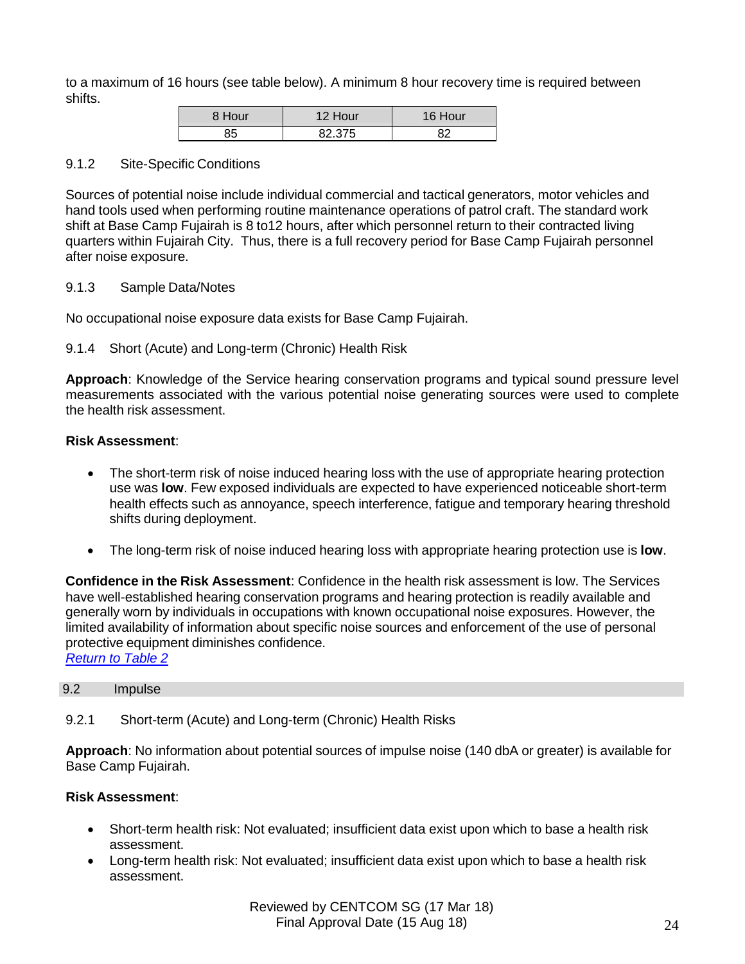to a maximum of 16 hours (see table below). A minimum 8 hour recovery time is required between shifts.

| 8 Hour | lour   | Hour |
|--------|--------|------|
|        | 82 375 | RΩ   |

#### 9.1.2 Site-Specific Conditions

Sources of potential noise include individual commercial and tactical generators, motor vehicles and hand tools used when performing routine maintenance operations of patrol craft. The standard work shift at Base Camp Fujairah is 8 to12 hours, after which personnel return to their contracted living quarters within Fujairah City. Thus, there is a full recovery period for Base Camp Fujairah personnel after noise exposure.

# 9.1.3 Sample Data/Notes

No occupational noise exposure data exists for Base Camp Fujairah.

# 9.1.4 Short (Acute) and Long-term (Chronic) Health Risk

**Approach**: Knowledge of the Service hearing conservation programs and typical sound pressure level measurements associated with the various potential noise generating sources were used to complete the health risk assessment.

### **Risk Assessment**:

- The short-term risk of noise induced hearing loss with the use of appropriate hearing protection use was **low**. Few exposed individuals are expected to have experienced noticeable short-term health effects such as annoyance, speech interference, fatigue and temporary hearing threshold shifts during deployment.
- The long-term risk of noise induced hearing loss with appropriate hearing protection use is **low**.

**Confidence in the Risk Assessment**: Confidence in the health risk assessment is low. The Services have well-established hearing conservation programs and hearing protection is readily available and generally worn by individuals in occupations with known occupational noise exposures. However, the limited availability of information about specific noise sources and enforcement of the use of personal protective equipment diminishes confidence.

*Return to Table 2*

# 9.2 Impulse

9.2.1 Short-term (Acute) and Long-term (Chronic) Health Risks

**Approach**: No information about potential sources of impulse noise (140 dbA or greater) is available for Base Camp Fujairah.

# **Risk Assessment**:

- Short-term health risk: Not evaluated; insufficient data exist upon which to base a health risk assessment.
- Long-term health risk: Not evaluated; insufficient data exist upon which to base a health risk assessment.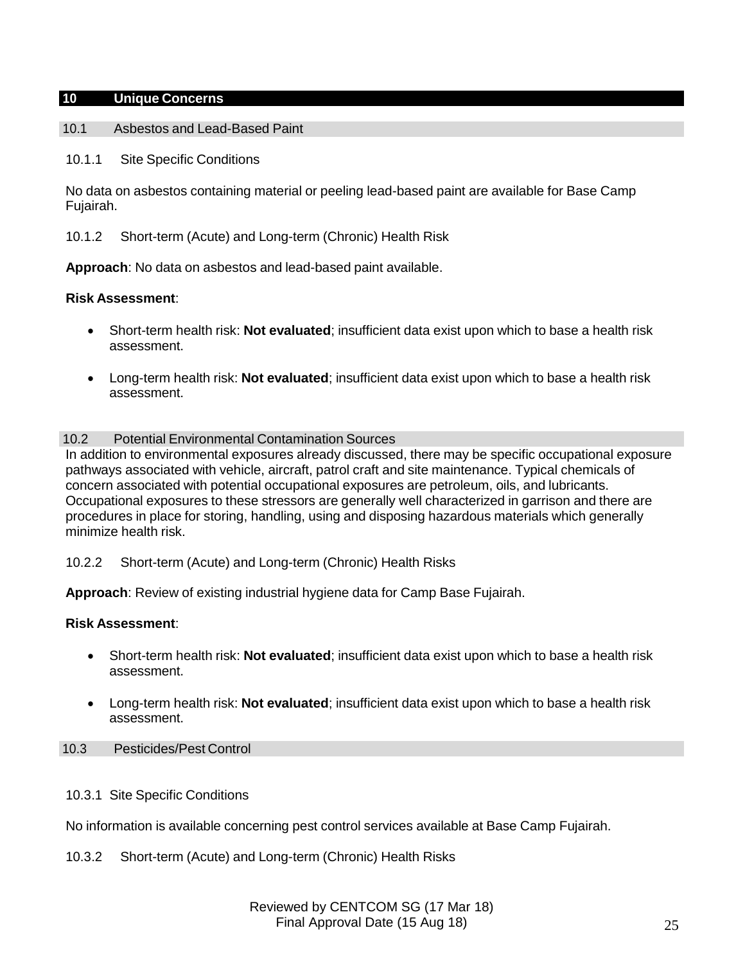### **10 Unique Concerns**

#### 10.1 Asbestos and Lead-Based Paint

10.1.1 Site Specific Conditions

No data on asbestos containing material or peeling lead-based paint are available for Base Camp Fujairah.

10.1.2 Short-term (Acute) and Long-term (Chronic) Health Risk

**Approach**: No data on asbestos and lead-based paint available.

### **Risk Assessment**:

- Short-term health risk: **Not evaluated**; insufficient data exist upon which to base a health risk assessment.
- Long-term health risk: **Not evaluated**; insufficient data exist upon which to base a health risk assessment.

### 10.2 Potential Environmental Contamination Sources

In addition to environmental exposures already discussed, there may be specific occupational exposure pathways associated with vehicle, aircraft, patrol craft and site maintenance. Typical chemicals of concern associated with potential occupational exposures are petroleum, oils, and lubricants. Occupational exposures to these stressors are generally well characterized in garrison and there are procedures in place for storing, handling, using and disposing hazardous materials which generally minimize health risk.

10.2.2 Short-term (Acute) and Long-term (Chronic) Health Risks

**Approach**: Review of existing industrial hygiene data for Camp Base Fujairah.

# **Risk Assessment**:

- Short-term health risk: **Not evaluated**; insufficient data exist upon which to base a health risk assessment.
- Long-term health risk: **Not evaluated**; insufficient data exist upon which to base a health risk assessment.

#### 10.3 Pesticides/Pest Control

10.3.1 Site Specific Conditions

No information is available concerning pest control services available at Base Camp Fujairah.

10.3.2 Short-term (Acute) and Long-term (Chronic) Health Risks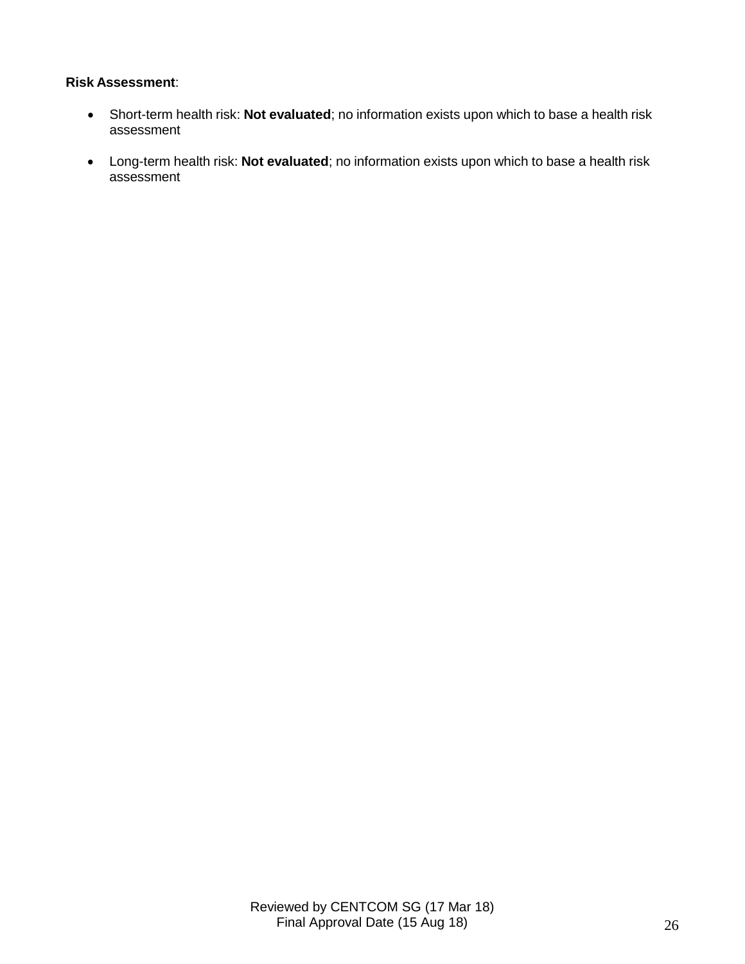# **Risk Assessment**:

- Short-term health risk: **Not evaluated**; no information exists upon which to base a health risk assessment
- Long-term health risk: **Not evaluated**; no information exists upon which to base a health risk assessment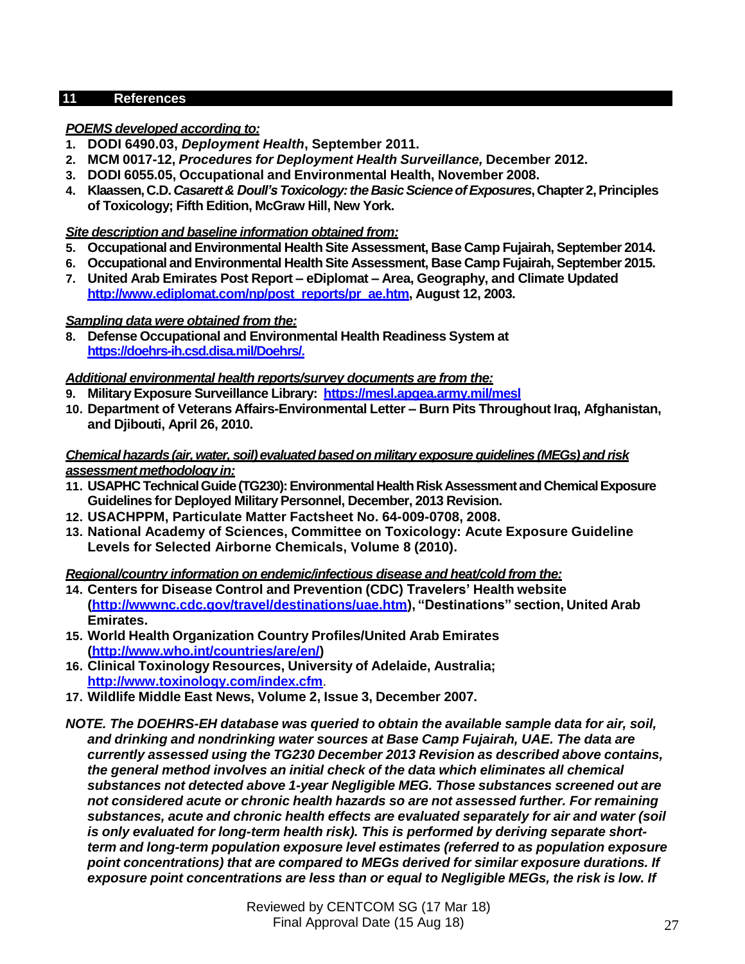# **11 References**

# *POEMS developed according to:*

- **1. DODI 6490.03,** *Deployment Health***, September 2011.**
- **2. MCM 0017-12,** *Procedures for Deployment Health Surveillance,* **December 2012.**
- **3. DODI 6055.05, Occupational and Environmental Health, November 2008.**
- **4. Klaassen, C.D.** *Casarett& Doull's Toxicology:the BasicScienceofExposures***,Chapter 2,Principles of Toxicology; Fifth Edition, McGraw Hill, New York.**

# *Site description and baseline information obtained from:*

- **5. Occupational and Environmental Health Site Assessment, Base Camp Fujairah, September 2014.**
- **6. Occupational and Environmental Health Site Assessment, Base Camp Fujairah, September 2015.**
- **7. United Arab Emirates Post Report – eDiplomat – Area, Geography, and Climate Updated [http://www.ediplomat.com/np/post\\_reports/pr\\_ae.htm,](http://www.ediplomat.com/np/post_reports/pr_ae.htm) August 12, 2003.**

# *Sampling data were obtained from the:*

**8. Defense Occupational and Environmental Health Readiness System at https://doehrs-ih.csd.disa.mil/Doehrs/.**

# *Additional environmental health reports/survey documents are from the:*

- **9. MilitaryExposure Surveillance Library: https://mesl.apgea.army.mil/mesl**
- **10. Department of Veterans Affairs-Environmental Letter – Burn Pits Throughout Iraq, Afghanistan, and Djibouti, April 26, 2010.**

### *Chemicalhazards (air,water, soil)evaluatedbasedon military exposure guidelines (MEGs) and risk assessmentmethodology in:*

- **11. USAPHC TechnicalGuide(TG230):EnvironmentalHealthRiskAssessmentand ChemicalExposure Guidelines for Deployed MilitaryPersonnel, December, 2013 Revision.**
- **12. USACHPPM, Particulate Matter Factsheet No. 64-009-0708, 2008.**
- **13. National Academy of Sciences, Committee on Toxicology: Acute Exposure Guideline Levels for Selected Airborne Chemicals, Volume 8 (2010).**

# *Regional/country information on endemic/infectious disease and heat/cold from the:*

- **14. Centers for Disease Control and Prevention (CDC) Travelers' Health website [\(http://wwwnc.cdc.gov/travel/destinations/uae.htm\),](http://wwwnc.cdc.gov/travel/destinations/uae.htm)) "Destinations" section, United Arab Emirates.**
- **15. World Health Organization Country Profiles/United Arab Emirates [\(http://www.who.int/countries/are/en/\)](http://www.who.int/countries/are/en/))**
- **16. Clinical Toxinology Resources, University of Adelaide, Australia; <http://www.toxinology.com/index.cfm>**.
- **17. Wildlife Middle East News, Volume 2, Issue 3, December 2007.**
- *NOTE. The DOEHRS-EH database was queried to obtain the available sample data for air, soil, and drinking and nondrinking water sources at Base Camp Fujairah, UAE. The data are currently assessed using the TG230 December 2013 Revision as described above contains, the general method involves an initial check of the data which eliminates all chemical substances not detected above 1-year Negligible MEG. Those substances screened out are not considered acute or chronic health hazards so are not assessed further. For remaining substances, acute and chronic health effects are evaluated separately for air and water (soil is only evaluated for long-term health risk). This is performed by deriving separate shortterm and long-term population exposure level estimates (referred to as population exposure point concentrations) that are compared to MEGs derived for similar exposure durations. If exposure point concentrations are less than or equal to Negligible MEGs, the risk is low. If*